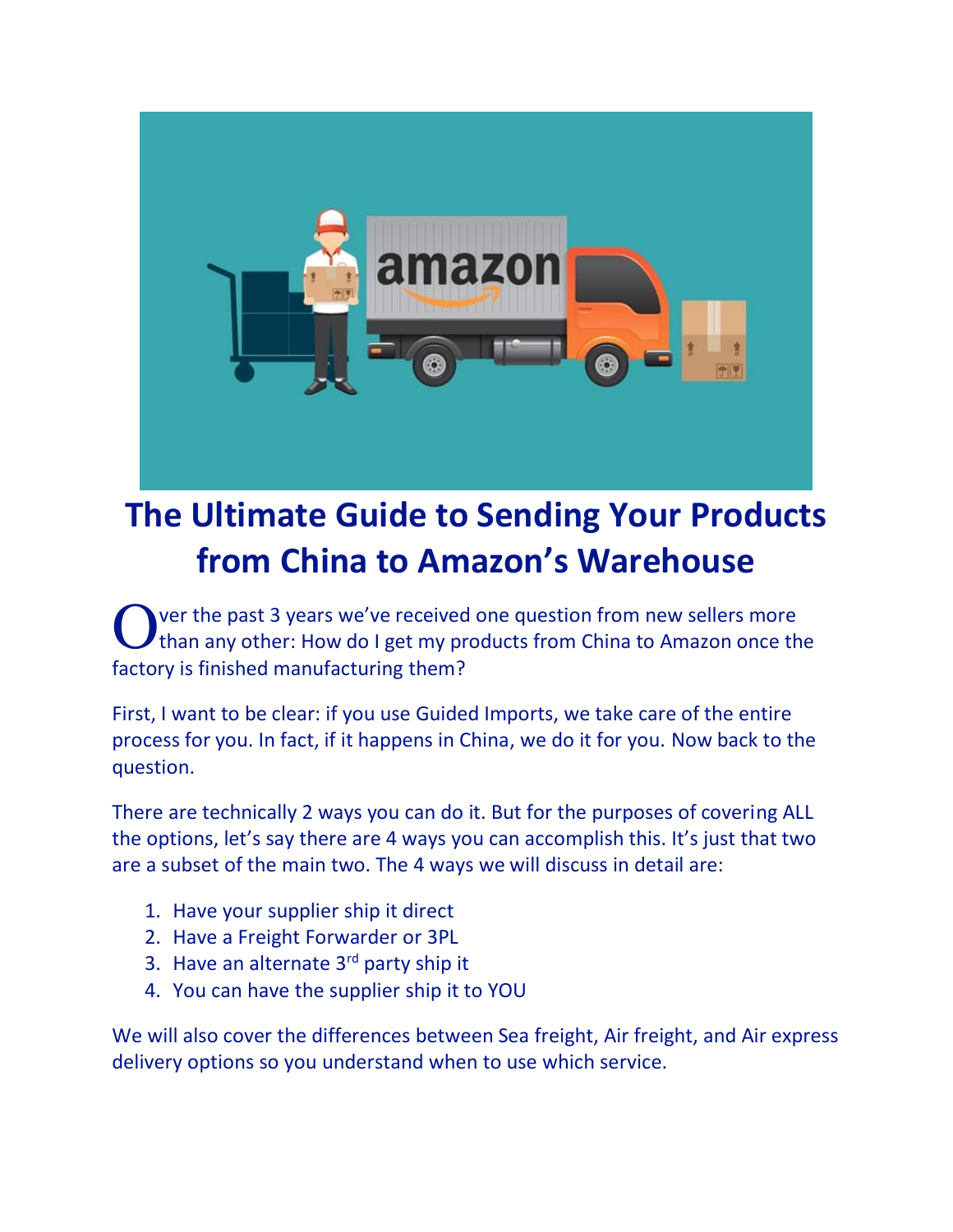

# **The Ultimate Guide to Sending Your Products from China to Amazon's Warehouse**

ver the past 3 years we've received one question from new sellers more than any other: How do I get my products from China to Amazon once the factory is finished manufacturing them? O

First, I want to be clear: if you use Guided Imports, we take care of the entire process for you. In fact, if it happens in China, we do it for you. Now back to the question.

There are technically 2 ways you can do it. But for the purposes of covering ALL the options, let's say there are 4 ways you can accomplish this. It's just that two are a subset of the main two. The 4 ways we will discuss in detail are:

- 1. Have your supplier ship it direct
- 2. Have a Freight Forwarder or 3PL
- 3. Have an alternate 3rd party ship it
- 4. You can have the supplier ship it to YOU

We will also cover the differences between Sea freight, Air freight, and Air express delivery options so you understand when to use which service.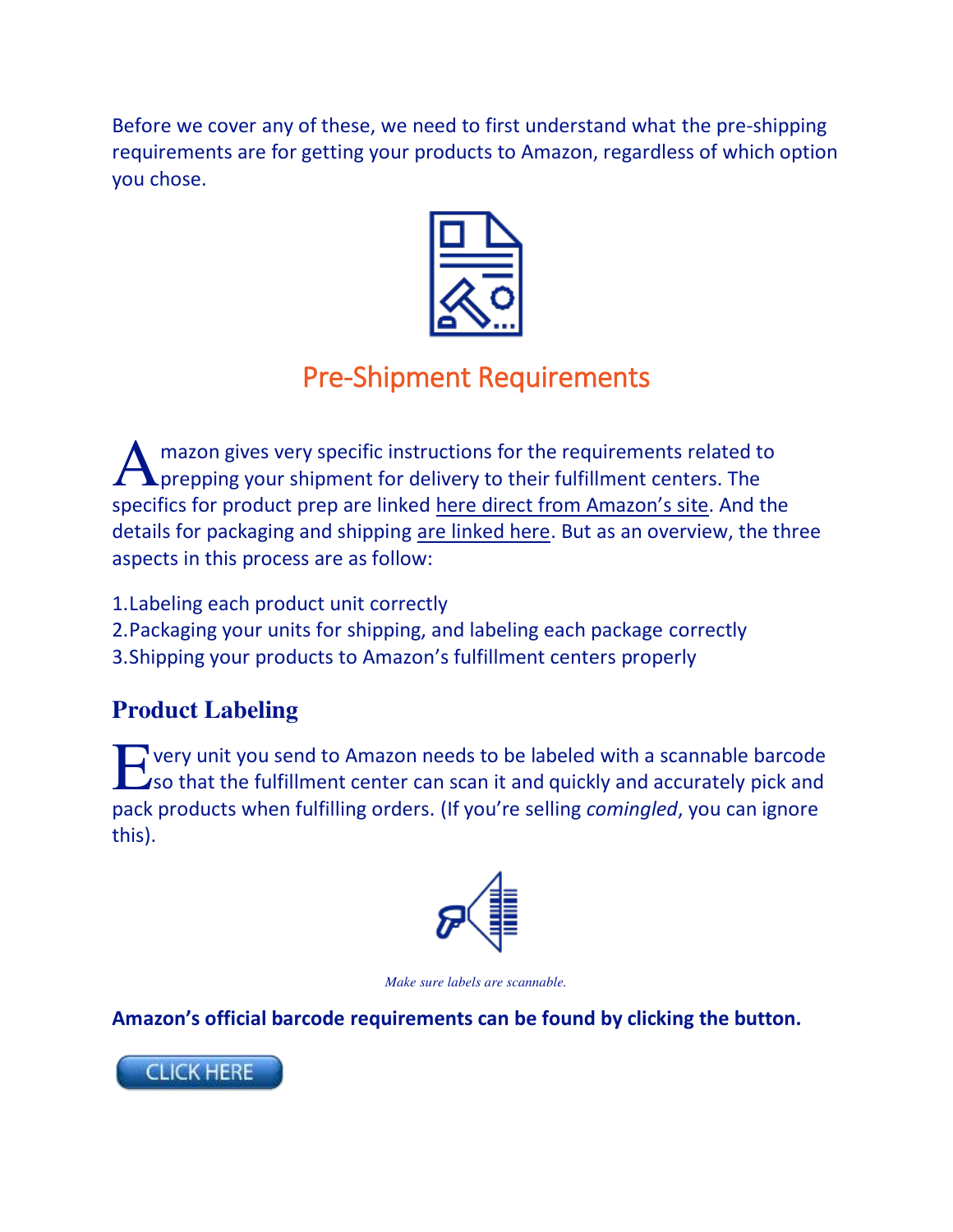Before we cover any of these, we need to first understand what the pre-shipping requirements are for getting your products to Amazon, regardless of which option you chose.



# Pre-Shipment Requirements

mazon gives very specific instructions for the requirements related to A mazon gives very specific instructions for the requirements related to prepping your shipment for delivery to their fulfillment centers. The specifics for product prep are linked [here direct from Amazon's si](https://images-na.ssl-images-amazon.com/images/G/01/fba-help/QRG/FBA_Prep_Products_en-US.pdf)te. And the details for packaging and shipping [are linked here.](https://images-na.ssl-images-amazon.com/images/G/01/fba-help/QRG/FBA-Shipping-Inventory-to-Amazon.pdf) But as an overview, the three aspects in this process are as follow:

- 1.Labeling each product unit correctly
- 2.Packaging your units for shipping, and labeling each package correctly
- 3.Shipping your products to Amazon's fulfillment centers properly

# **Product Labeling**

very unit you send to Amazon needs to be labeled with a scannable barcode so that the fulfillment center can scan it and quickly and accurately pick and pack products when fulfilling orders. (If you're selling *comingled*, you can ignore this). E



*Make sure labels are scannable.* 

**Amazon's official barcode requirements can be found by clicking the button.** 

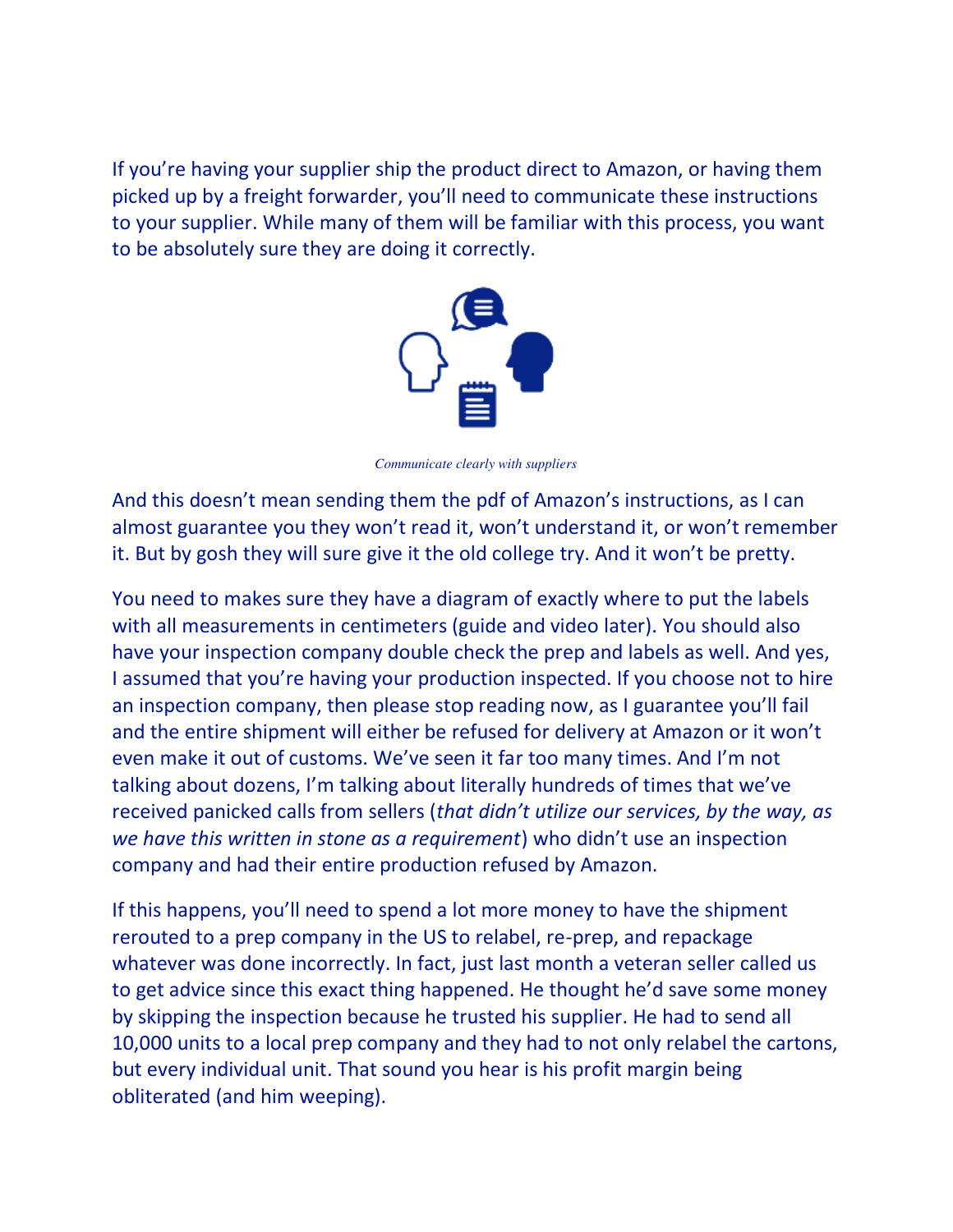If you're having your supplier ship the product direct to Amazon, or having them picked up by a freight forwarder, you'll need to communicate these instructions to your supplier. While many of them will be familiar with this process, you want to be absolutely sure they are doing it correctly.



*Communicate clearly with suppliers*

And this doesn't mean sending them the pdf of Amazon's instructions, as I can almost guarantee you they won't read it, won't understand it, or won't remember it. But by gosh they will sure give it the old college try. And it won't be pretty.

You need to makes sure they have a diagram of exactly where to put the labels with all measurements in centimeters (guide and video later). You should also have your inspection company double check the prep and labels as well. And yes, I assumed that you're having your production inspected. If you choose not to hire an inspection company, then please stop reading now, as I guarantee you'll fail and the entire shipment will either be refused for delivery at Amazon or it won't even make it out of customs. We've seen it far too many times. And I'm not talking about dozens, I'm talking about literally hundreds of times that we've received panicked calls from sellers (*that didn't utilize our services, by the way, as we have this written in stone as a requirement*) who didn't use an inspection company and had their entire production refused by Amazon.

If this happens, you'll need to spend a lot more money to have the shipment rerouted to a prep company in the US to relabel, re-prep, and repackage whatever was done incorrectly. In fact, just last month a veteran seller called us to get advice since this exact thing happened. He thought he'd save some money by skipping the inspection because he trusted his supplier. He had to send all 10,000 units to a local prep company and they had to not only relabel the cartons, but every individual unit. That sound you hear is his profit margin being obliterated (and him weeping).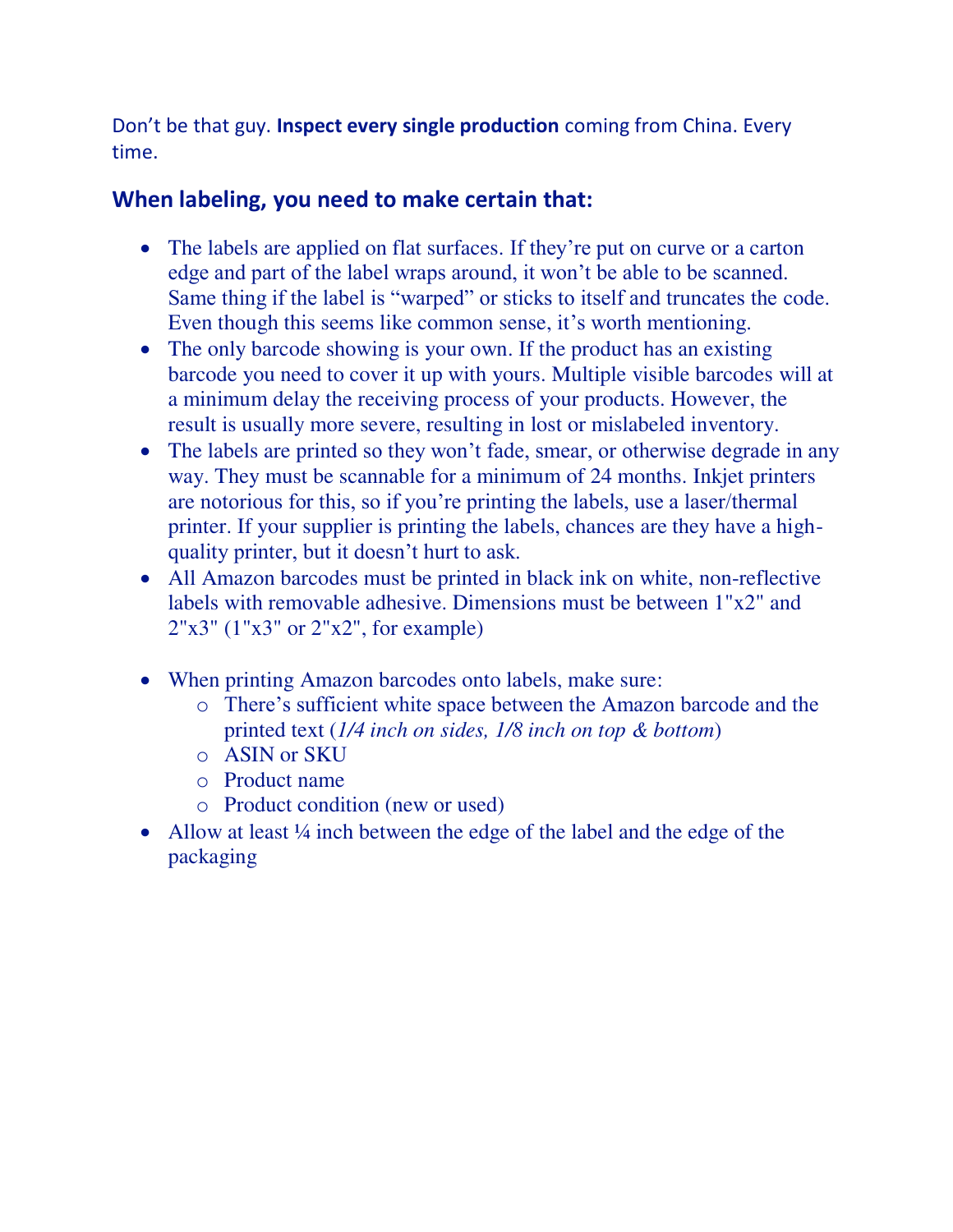Don't be that guy. **Inspect every single production** coming from China. Every time.

# **When labeling, you need to make certain that:**

- The labels are applied on flat surfaces. If they're put on curve or a carton edge and part of the label wraps around, it won't be able to be scanned. Same thing if the label is "warped" or sticks to itself and truncates the code. Even though this seems like common sense, it's worth mentioning.
- The only barcode showing is your own. If the product has an existing barcode you need to cover it up with yours. Multiple visible barcodes will at a minimum delay the receiving process of your products. However, the result is usually more severe, resulting in lost or mislabeled inventory.
- The labels are printed so they won't fade, smear, or otherwise degrade in any way. They must be scannable for a minimum of 24 months. Inkjet printers are notorious for this, so if you're printing the labels, use a laser/thermal printer. If your supplier is printing the labels, chances are they have a highquality printer, but it doesn't hurt to ask.
- All Amazon barcodes must be printed in black ink on white, non-reflective labels with removable adhesive. Dimensions must be between 1"x2" and 2"x3" (1"x3" or 2"x2", for example)
- When printing Amazon barcodes onto labels, make sure:
	- o There's sufficient white space between the Amazon barcode and the printed text (*1/4 inch on sides, 1/8 inch on top & bottom*)
	- o ASIN or SKU
	- o Product name
	- o Product condition (new or used)
- Allow at least  $\frac{1}{4}$  inch between the edge of the label and the edge of the packaging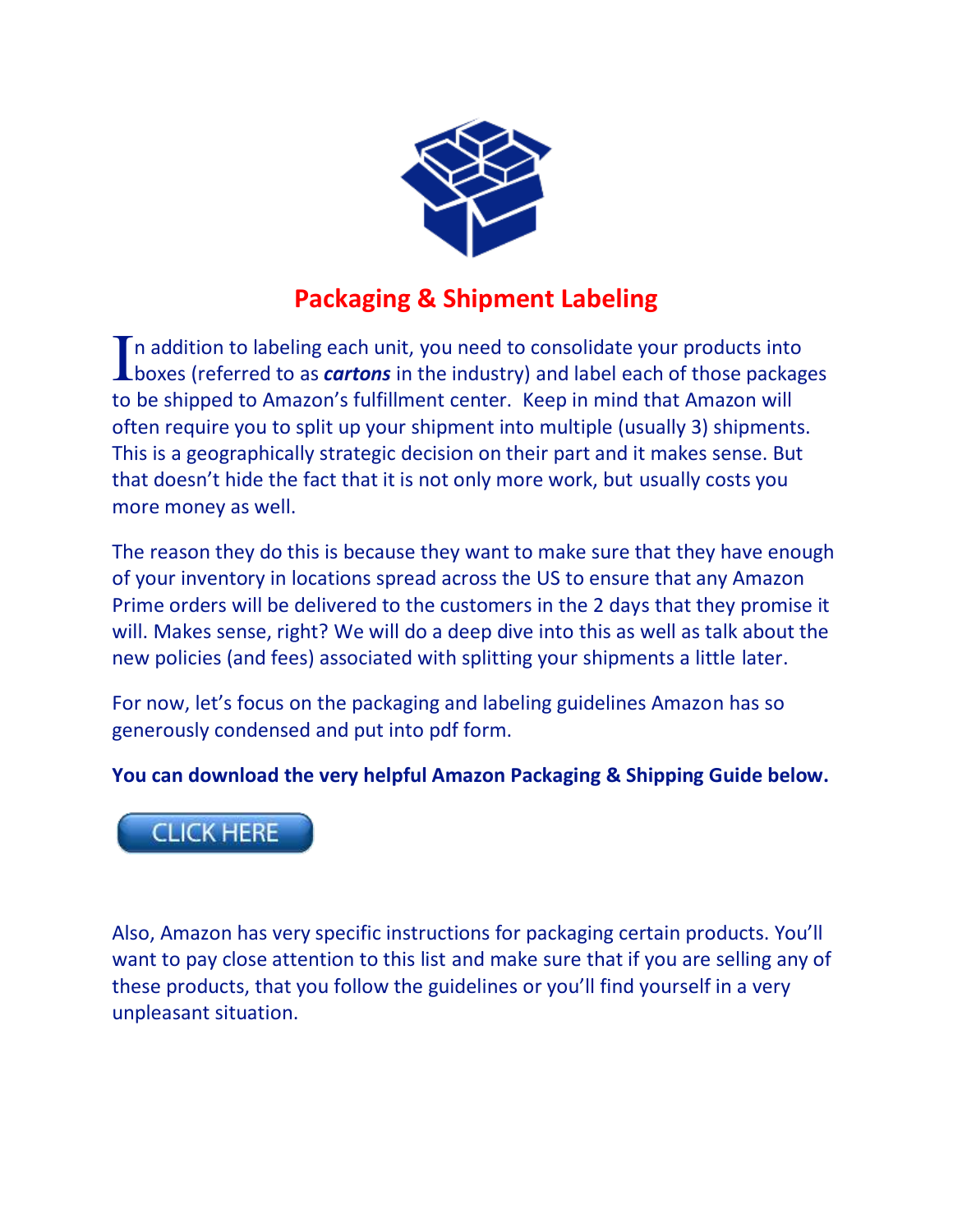

# **Packaging & Shipment Labeling**

If addition to labeling each unit, you need to consolidate your products into In addition to labeling each unit, you need to consolidate your products into<br>boxes (referred to as *cartons* in the industry) and label each of those packages to be shipped to Amazon's fulfillment center. Keep in mind that Amazon will often require you to split up your shipment into multiple (usually 3) shipments. This is a geographically strategic decision on their part and it makes sense. But that doesn't hide the fact that it is not only more work, but usually costs you more money as well.

The reason they do this is because they want to make sure that they have enough of your inventory in locations spread across the US to ensure that any Amazon Prime orders will be delivered to the customers in the 2 days that they promise it will. Makes sense, right? We will do a deep dive into this as well as talk about the new policies (and fees) associated with splitting your shipments a little later.

For now, let's focus on the packaging and labeling guidelines Amazon has so generously condensed and put into pdf form.

**You can download the very helpful Amazon Packaging & Shipping Guide below.** 



Also, Amazon has very specific instructions for packaging certain products. You'll want to pay close attention to this list and make sure that if you are selling any of these products, that you follow the guidelines or you'll find yourself in a very unpleasant situation.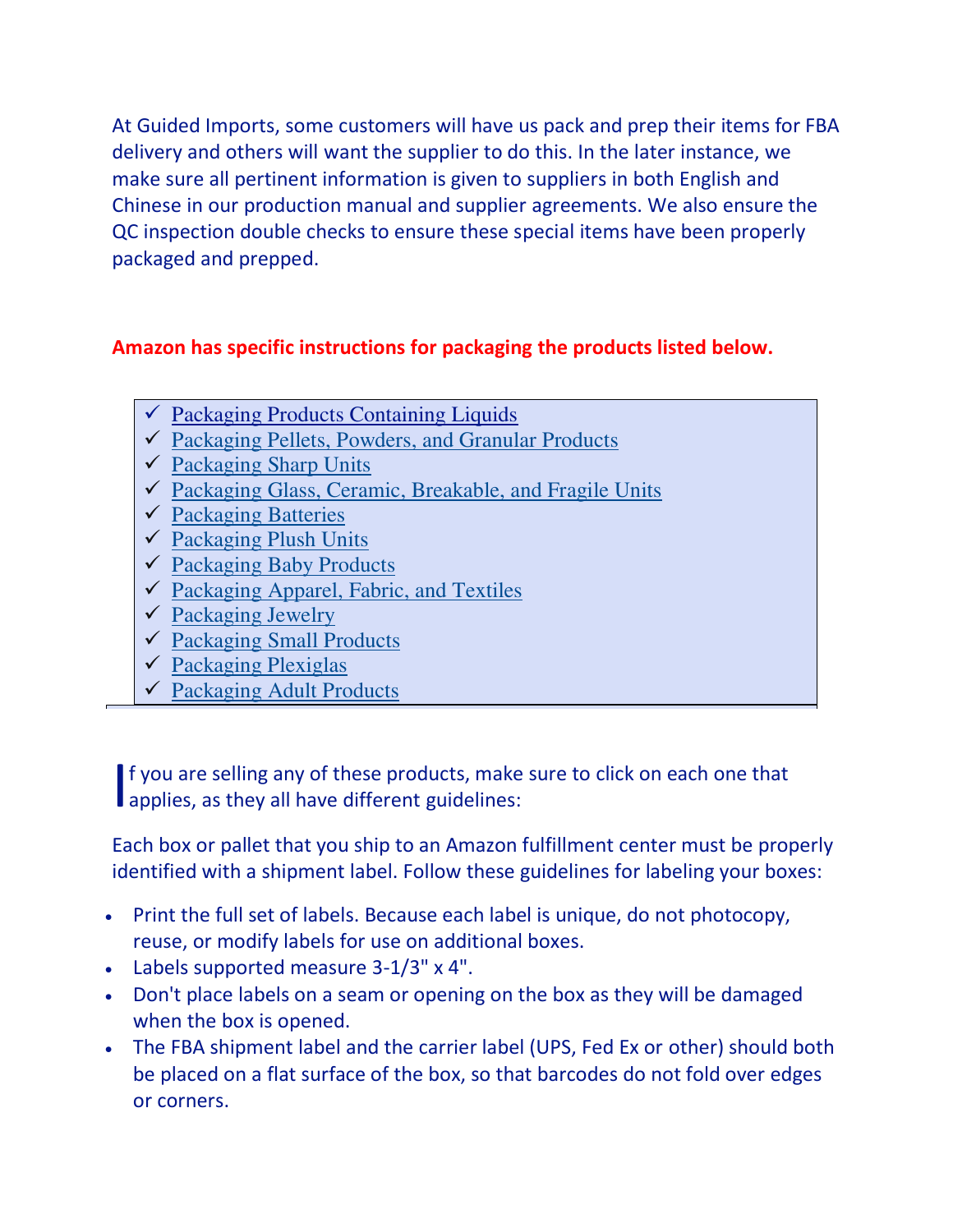At Guided Imports, some customers will have us pack and prep their items for FBA delivery and others will want the supplier to do this. In the later instance, we make sure all pertinent information is given to suppliers in both English and Chinese in our production manual and supplier agreements. We also ensure the QC inspection double checks to ensure these special items have been properly packaged and prepped.

# **Amazon has specific instructions for packaging the products listed below.**

- $\checkmark$  Packaging Products Containing Liquids
- $\checkmark$  [Packaging Pellets, Powders, and Granular Products](https://www.amazon.com/gp/help/customer/display.html/ref=hp_rel_topic?ie=UTF8&nodeId=200280430)
- $\checkmark$  [Packaging Sharp Units](https://www.amazon.com/gp/help/customer/display.html/ref=hp_rel_topic?ie=UTF8&nodeId=200280440)
- $\checkmark$  [Packaging Glass, Ceramic, Breakable, and Fragile Units](https://www.amazon.com/gp/help/customer/display.html/ref=hp_rel_topic?ie=UTF8&nodeId=200280450)
- ✓ [Packaging Batteries](https://www.amazon.com/gp/help/customer/display.html/ref=hp_rel_topic?ie=UTF8&nodeId=201809310)
- $\checkmark$  [Packaging Plush Units](https://www.amazon.com/gp/help/customer/display.html/ref=hp_rel_topic?ie=UTF8&nodeId=200280460)
- $\checkmark$  [Packaging Baby Products](https://www.amazon.com/gp/help/customer/display.html/ref=hp_rel_topic?ie=UTF8&nodeId=200956720)
- $\checkmark$  [Packaging Apparel, Fabric, and Textiles](https://www.amazon.com/gp/help/customer/display.html/ref=hp_rel_topic?ie=UTF8&nodeId=200280470)
- $\checkmark$  [Packaging Jewelry](https://www.amazon.com/gp/help/customer/display.html/ref=hp_rel_topic?ie=UTF8&nodeId=200342400)
- ✓ [Packaging Small Products](https://www.amazon.com/gp/help/customer/display.html/ref=hp_rel_topic?ie=UTF8&nodeId=200944670)
- $\checkmark$  [Packaging Plexiglas](https://www.amazon.com/gp/help/customer/display.html/ref=hp_rel_topic?ie=UTF8&nodeId=200492640)
- ✓ [Packaging Adult Products](https://www.amazon.com/gp/help/customer/display.html/ref=hp_rel_topic?ie=UTF8&nodeId=200505430)

f you are selling any of these products, make sure to click on each one that If you are selling any of these products, make<br>applies, as they all have different guidelines:

Each box or pallet that you ship to an Amazon fulfillment center must be properly identified with a shipment label. Follow these guidelines for labeling your boxes:

- Print the full set of labels. Because each label is unique, do not photocopy, reuse, or modify labels for use on additional boxes.
- Labels supported measure 3-1/3" x 4".
- Don't place labels on a seam or opening on the box as they will be damaged when the box is opened.
- The FBA shipment label and the carrier label (UPS, Fed Ex or other) should both be placed on a flat surface of the box, so that barcodes do not fold over edges or corners.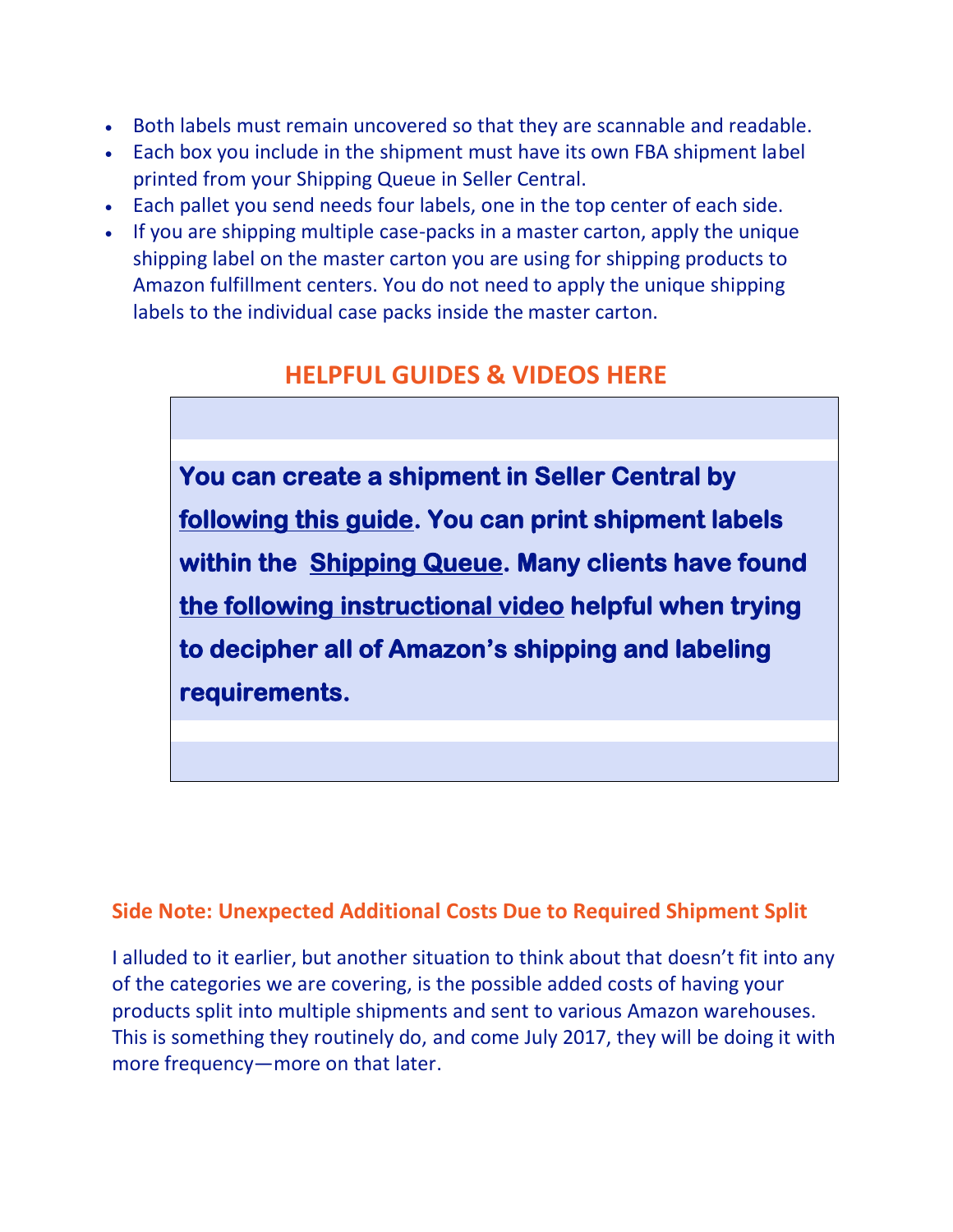- Both labels must remain uncovered so that they are scannable and readable.
- Each box you include in the shipment must have its own FBA shipment label printed from your Shipping Queue in Seller Central.
- Each pallet you send needs four labels, one in the top center of each side.
- If you are shipping multiple case-packs in a master carton, apply the unique shipping label on the master carton you are using for shipping products to Amazon fulfillment centers. You do not need to apply the unique shipping labels to the individual case packs inside the master carton.

# **HELPFUL GUIDES & VIDEOS HERE**

**You can create a shipment in Seller Central by following this guide. You can print shipment labels within the Shipping Queue. Many clients have found the following instructional video helpful when trying to decipher all of Amazon's shipping and labeling requirements.** 

# **Side Note: Unexpected Additional Costs Due to Required Shipment Split**

I alluded to it earlier, but another situation to think about that doesn't fit into any of the categories we are covering, is the possible added costs of having your products split into multiple shipments and sent to various Amazon warehouses. This is something they routinely do, and come July 2017, they will be doing it with more frequency—more on that later.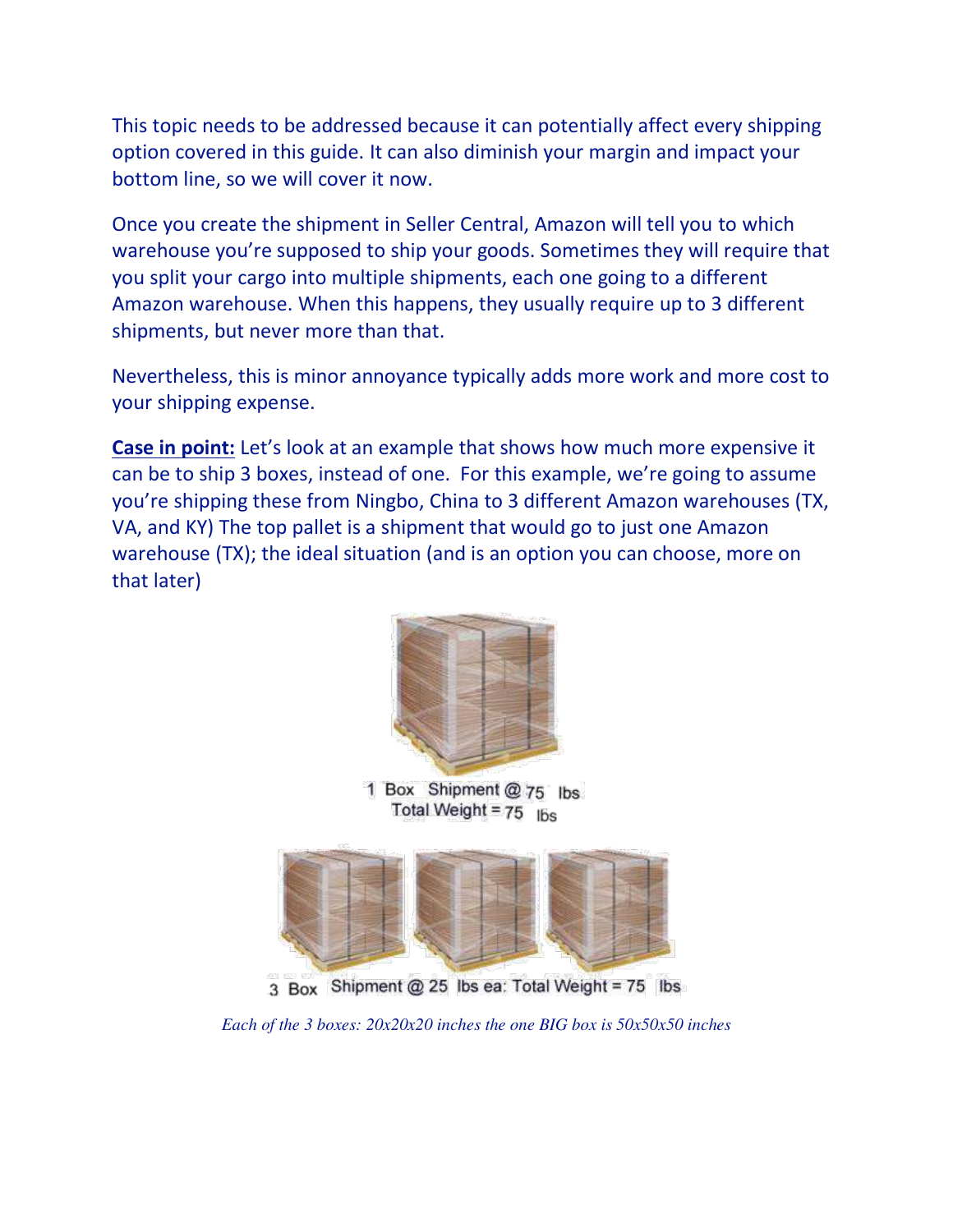This topic needs to be addressed because it can potentially affect every shipping option covered in this guide. It can also diminish your margin and impact your bottom line, so we will cover it now.

Once you create the shipment in Seller Central, Amazon will tell you to which warehouse you're supposed to ship your goods. Sometimes they will require that you split your cargo into multiple shipments, each one going to a different Amazon warehouse. When this happens, they usually require up to 3 different shipments, but never more than that.

Nevertheless, this is minor annoyance typically adds more work and more cost to your shipping expense.

**Case in point:** Let's look at an example that shows how much more expensive it can be to ship 3 boxes, instead of one. For this example, we're going to assume you're shipping these from Ningbo, China to 3 different Amazon warehouses (TX, VA, and KY) The top pallet is a shipment that would go to just one Amazon warehouse (TX); the ideal situation (and is an option you can choose, more on that later)



1 Box Shipment @ 75 lbs Total Weight =  $75$  lbs



3 Box Shipment @ 25 lbs ea: Total Weight = 75 lbs

*Each of the 3 boxes: 20x20x20 inches the one BIG box is 50x50x50 inches*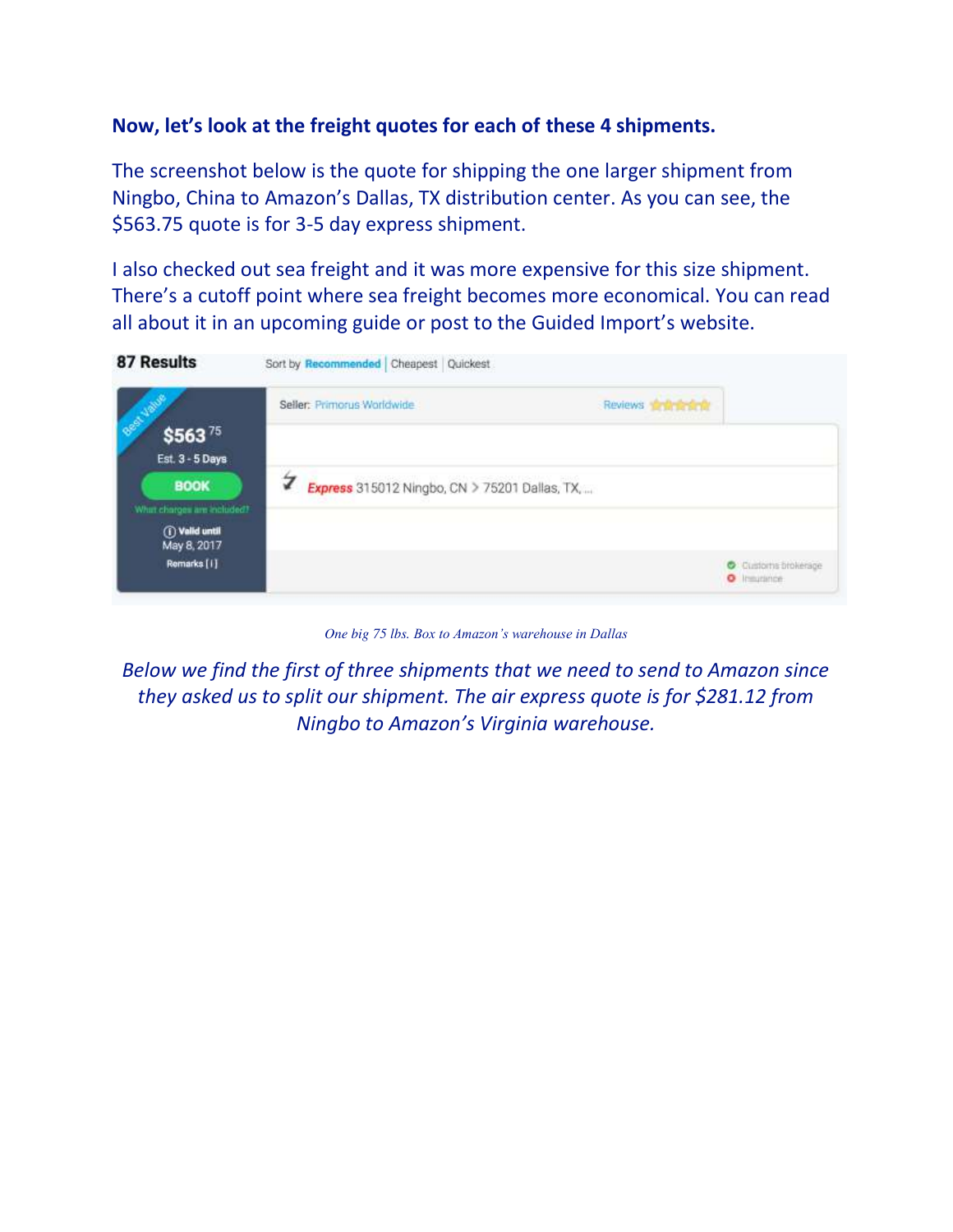### **Now, let's look at the freight quotes for each of these 4 shipments.**

The screenshot below is the quote for shipping the one larger shipment from Ningbo, China to Amazon's Dallas, TX distribution center. As you can see, the \$563.75 quote is for 3-5 day express shipment.

I also checked out sea freight and it was more expensive for this size shipment. There's a cutoff point where sea freight becomes more economical. You can read all about it in an upcoming guide or post to the Guided Import's website.

| <b>87 Results</b>                                            | Sort by Recommended Cheapest Quickest              |                                 |
|--------------------------------------------------------------|----------------------------------------------------|---------------------------------|
| <b>COLLEGE</b><br>\$56375                                    | Seller: Primorus Worldwide                         | Reviews <b>fighterial</b>       |
| Est. 3 - 5 Days<br><b>BOOK</b><br>What charges are included? | 7<br>Express 315012 Ningbo, CN > 75201 Dallas, TX, |                                 |
| <b><i>O</i></b> Valid until<br>May 8, 2017<br>Remarks [1]    |                                                    | Customs brokerage<br>O Imprimer |

*One big 75 lbs. Box to Amazon's warehouse in Dallas*

*Below we find the first of three shipments that we need to send to Amazon since they asked us to split our shipment. The air express quote is for \$281.12 from Ningbo to Amazon's Virginia warehouse.*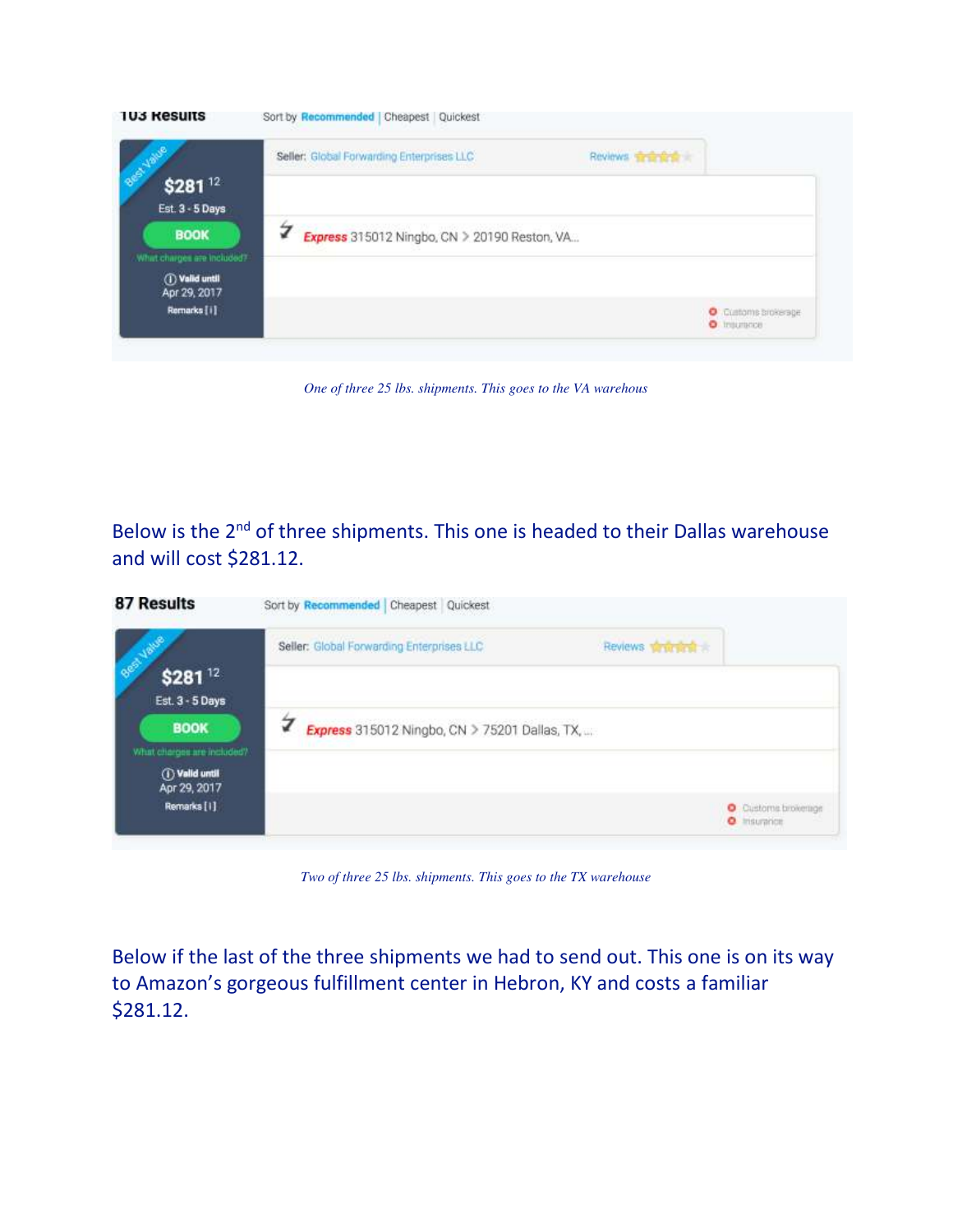

*One of three 25 lbs. shipments. This goes to the VA warehous*

Below is the 2<sup>nd</sup> of three shipments. This one is headed to their Dallas warehouse and will cost \$281.12.

|                                              | Seller: Global Forwarding Enterprises LLC     | Reviews written at |                                          |
|----------------------------------------------|-----------------------------------------------|--------------------|------------------------------------------|
| <b>COLLEGE</b><br>\$28112<br>Est. 3 - 5 Days |                                               |                    |                                          |
| <b>BOOK</b><br>What charges are included?    | Express 315012 Ningbo, CN > 75201 Dallas, TX, |                    |                                          |
| <b><i>O</i></b> Valid until<br>Apr 29, 2017  |                                               |                    |                                          |
| Remarks [1]                                  |                                               |                    | Customs brokerings<br><b>O</b> Insurance |

*Two of three 25 lbs. shipments. This goes to the TX warehouse* 

Below if the last of the three shipments we had to send out. This one is on its way to Amazon's gorgeous fulfillment center in Hebron, KY and costs a familiar \$281.12.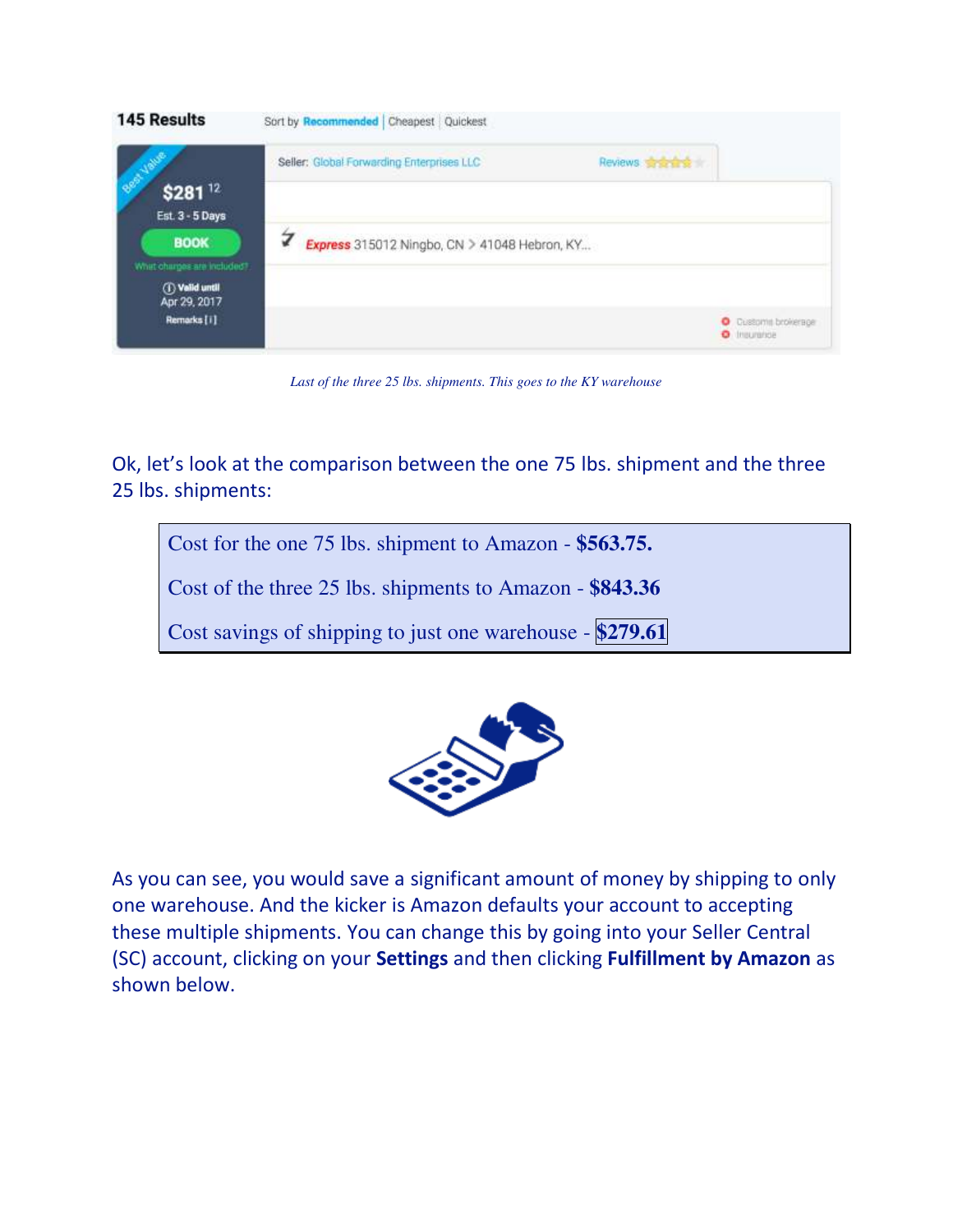

*Last of the three 25 lbs. shipments. This goes to the KY warehouse*

Ok, let's look at the comparison between the one 75 lbs. shipment and the three 25 lbs. shipments:

Cost for the one 75 lbs. shipment to Amazon - **\$563.75.**

Cost of the three 25 lbs. shipments to Amazon - **\$843.36** 

Cost savings of shipping to just one warehouse - **\$279.61** 



As you can see, you would save a significant amount of money by shipping to only one warehouse. And the kicker is Amazon defaults your account to accepting these multiple shipments. You can change this by going into your Seller Central (SC) account, clicking on your **Settings** and then clicking **Fulfillment by Amazon** as shown below.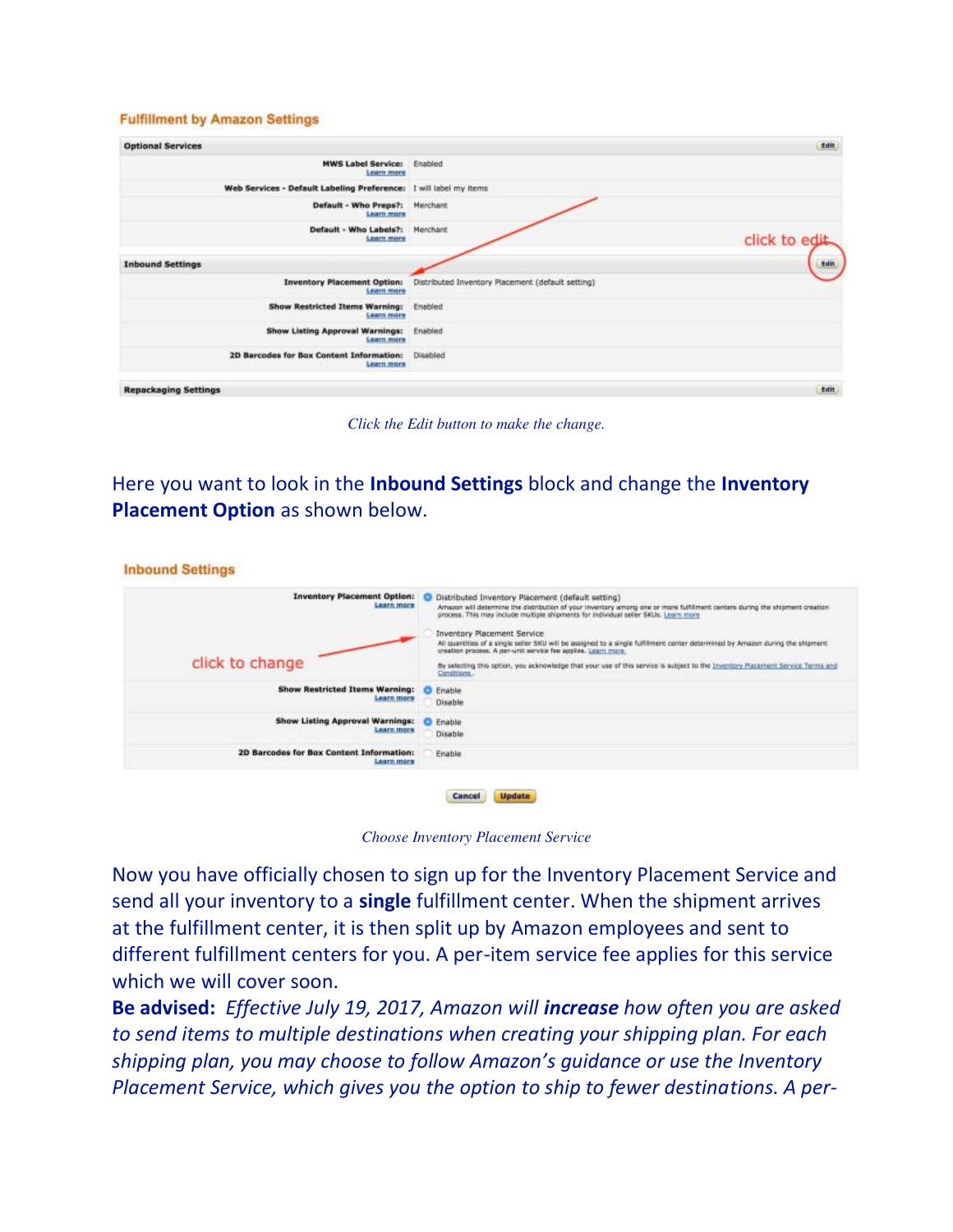#### **Fulfillment by Amazon Settings**

| <b>Optional Services</b>                                                                                                                                                                                                                                                                       |                                                   | Edit           |
|------------------------------------------------------------------------------------------------------------------------------------------------------------------------------------------------------------------------------------------------------------------------------------------------|---------------------------------------------------|----------------|
| <b>MWS Label Service:</b><br><b>Learn more</b>                                                                                                                                                                                                                                                 | Enabled                                           |                |
| Web Services - Default Labeling Preference: I will label my items                                                                                                                                                                                                                              |                                                   |                |
| Default - Who Preps?:<br><b>Learn</b> more                                                                                                                                                                                                                                                     | Merchant                                          |                |
| Default - Who Labels?:<br><b>Learn more</b>                                                                                                                                                                                                                                                    | Merchant                                          | click to edit. |
| <b>Inbound Settings</b>                                                                                                                                                                                                                                                                        |                                                   | <b>Edit</b>    |
| <b>Inventory Placement Option:</b><br><b>Learn more</b>                                                                                                                                                                                                                                        | Distributed Inventory Placement (default setting) |                |
| <b>Show Restricted Items Warning:</b><br>Learn more                                                                                                                                                                                                                                            | Enabled                                           |                |
| Show Listing Approval Warnings:<br><b>Learn more</b>                                                                                                                                                                                                                                           | Enabled                                           |                |
| 2D Barcodes for Box Content Information:<br><b>Learn more</b><br>THE REPORT OF REPORT OF THE REPORT OF THE REPORT OF THE REPORT OF THE REPORT OF THE REPORT OF THE REPORT OF THE REPORT OF THE REPORT OF THE REPORT OF THE REPORT OF THE REPORT OF THE REPORT OF THE REPORT OF THE REPORT OF T | Disabled                                          |                |
| <b>Repackaging Settings</b>                                                                                                                                                                                                                                                                    |                                                   | Edit           |

*Click the Edit button to make the change.* 

Here you want to look in the **Inbound Settings** block and change the **Inventory Placement Option** as shown below.

| <b>Inventory Placement Option:</b><br><b>Learn more</b>    | Distributed Inventory Placement (default setting)<br>Amazon will determine the distribution of your inventory among one or more fulfilment centers during the shipment creation<br>process. This may include multiple shipments for individual seller SKUs. Learn more |
|------------------------------------------------------------|------------------------------------------------------------------------------------------------------------------------------------------------------------------------------------------------------------------------------------------------------------------------|
|                                                            | <b>Inventory Placement Service</b><br>All quantities of a single seller SKU will be assigned to a single fulfillment center determined by Amazon during the shipment<br>creation process. A per-unit service fee applies. Learn more                                   |
| click to change                                            | By selecting this option, you acknowledge that your use of this service is subject to the Inventory Racement Service Terms and<br>Conditions .<br>30 : 100 : 100 : 100 : 100 : 100 : 100 : 100 : 100 : 100 : 100 : 100 : 100 : 100 : 100 : 100 : 100 : 100 : 100       |
| <b>Show Restricted Items Warning:</b><br><b>Learn more</b> | Enable<br>Disable                                                                                                                                                                                                                                                      |
| Show Listing Approval Warnings:<br><b>Learn more</b>       | Enable<br>Disable                                                                                                                                                                                                                                                      |
| 2D Barcodes for Box Content Information:<br>Learn more     | Enable                                                                                                                                                                                                                                                                 |

*Choose Inventory Placement Service* 

Now you have officially chosen to sign up for the Inventory Placement Service and send all your inventory to a **single** fulfillment center. When the shipment arrives at the fulfillment center, it is then split up by Amazon employees and sent to different fulfillment centers for you. A per-item service fee applies for this service which we will cover soon.

**Be advised:** *Effective July 19, 2017, Amazon will increase how often you are asked to send items to multiple destinations when creating your shipping plan. For each shipping plan, you may choose to follow Amazon's guidance or use the Inventory Placement Service, which gives you the option to ship to fewer destinations. A per-*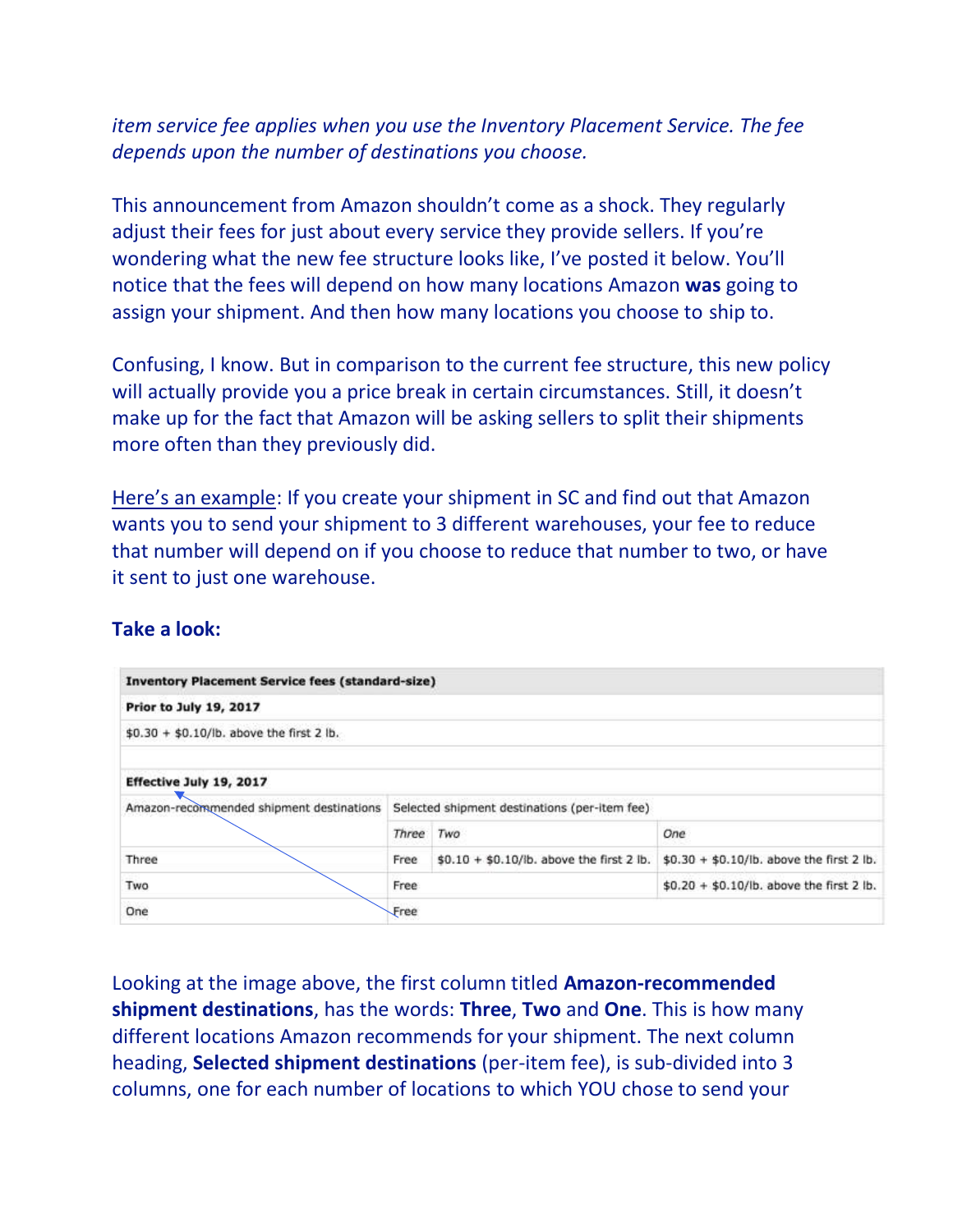### *item service fee applies when you use the Inventory Placement Service. The fee depends upon the number of destinations you choose.*

This announcement from Amazon shouldn't come as a shock. They regularly adjust their fees for just about every service they provide sellers. If you're wondering what the new fee structure looks like, I've posted it below. You'll notice that the fees will depend on how many locations Amazon **was** going to assign your shipment. And then how many locations you choose to ship to.

Confusing, I know. But in comparison to the current fee structure, this new policy will actually provide you a price break in certain circumstances. Still, it doesn't make up for the fact that Amazon will be asking sellers to split their shipments more often than they previously did.

Here's an example: If you create your shipment in SC and find out that Amazon wants you to send your shipment to 3 different warehouses, your fee to reduce that number will depend on if you choose to reduce that number to two, or have it sent to just one warehouse.

| <b>Inventory Placement Service fees (standard-size)</b> |                                               |                                            |                                            |  |
|---------------------------------------------------------|-----------------------------------------------|--------------------------------------------|--------------------------------------------|--|
| <b>Prior to July 19, 2017</b>                           |                                               |                                            |                                            |  |
| \$0.30 + \$0.10/lb. above the first 2 lb.               |                                               |                                            |                                            |  |
| Effective July 19, 2017                                 |                                               |                                            |                                            |  |
| Amazon-recommended shipment destinations                | Selected shipment destinations (per-item fee) |                                            |                                            |  |
|                                                         | Three                                         | Two                                        | One                                        |  |
| Three                                                   | Free                                          | $$0.10 + $0.10$ /lb. above the first 2 lb. | $$0.30 + $0.10$ /lb. above the first 2 lb. |  |
| Two                                                     | Free                                          |                                            | \$0.20 + \$0.10/lb. above the first 2 lb.  |  |
| One                                                     | Free                                          |                                            |                                            |  |

#### **Take a look:**

Looking at the image above, the first column titled **Amazon-recommended shipment destinations**, has the words: **Three**, **Two** and **One**. This is how many different locations Amazon recommends for your shipment. The next column heading, **Selected shipment destinations** (per-item fee), is sub-divided into 3 columns, one for each number of locations to which YOU chose to send your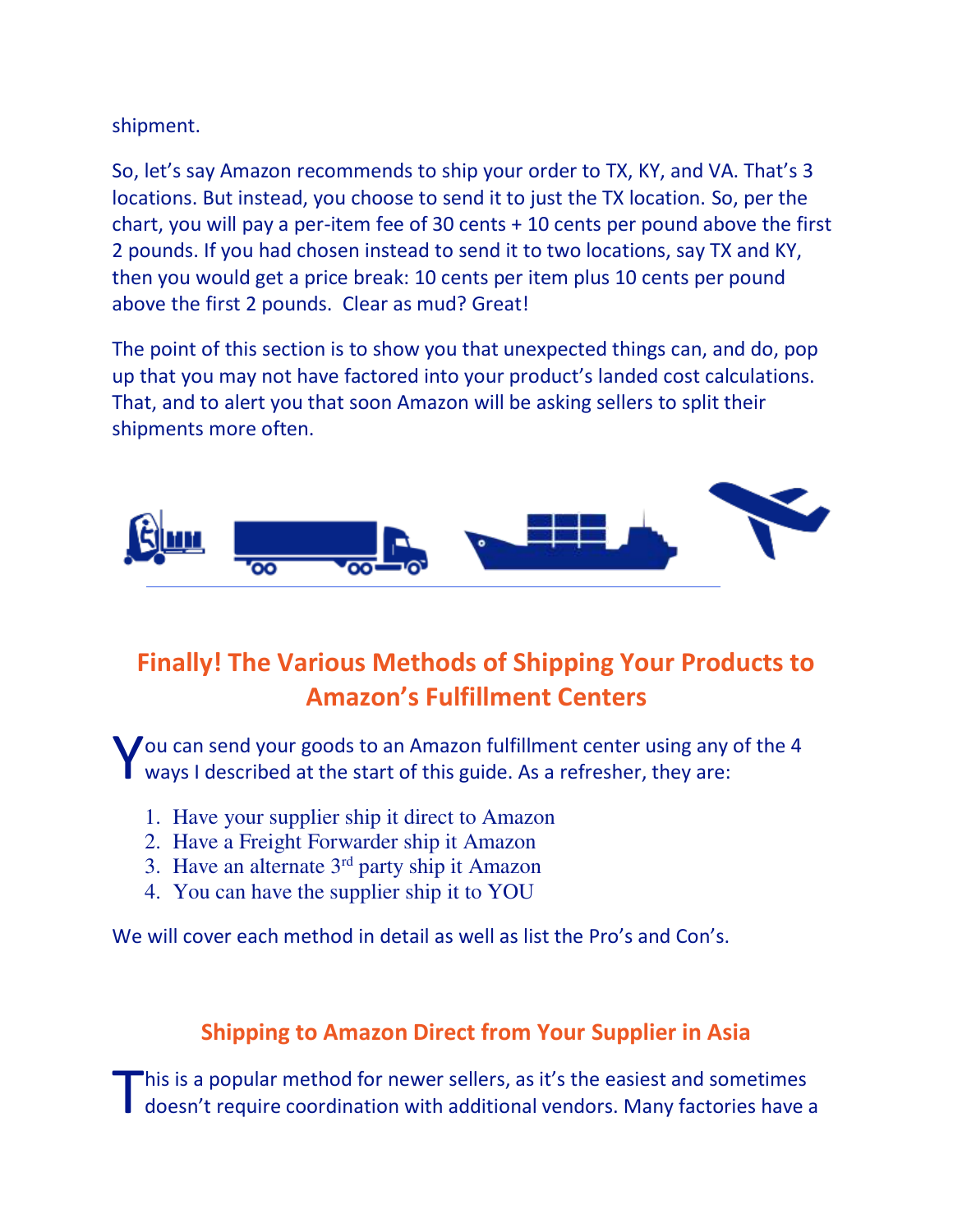shipment.

So, let's say Amazon recommends to ship your order to TX, KY, and VA. That's 3 locations. But instead, you choose to send it to just the TX location. So, per the chart, you will pay a per-item fee of 30 cents  $+$  10 cents per pound above the first 2 pounds. If you had chosen instead to send it to two locations, say TX and KY, then you would get a price break: 10 cents per item plus 10 cents per pound above the first 2 pounds. Clear as mud? Great!

The point of this section is to show you that unexpected things can, and do, pop up that you may not have factored into your product's landed cost calculations. That, and to alert you that soon Amazon will be asking sellers to split their shipments more often.



# **Finally! The Various Methods of Shipping Your Products to Amazon's Fulfillment Centers**

You can send your goods to an Amazon fulfillment center using any of the 4<br>Ways I described at the start of this guide. As a refresher, they are: ways I described at the start of this guide. As a refresher, they are:

- 1. Have your supplier ship it direct to Amazon
- 2. Have a Freight Forwarder ship it Amazon
- 3. Have an alternate  $3<sup>rd</sup>$  party ship it Amazon
- 4. You can have the supplier ship it to YOU

We will cover each method in detail as well as list the Pro's and Con's.

# **Shipping to Amazon Direct from Your Supplier in Asia**

This is a popular method for newer sellers, as it's the easiest and sometimes doesn't require coordination with additional vendors. Many factories have a doesn't require coordination with additional vendors. Many factories have a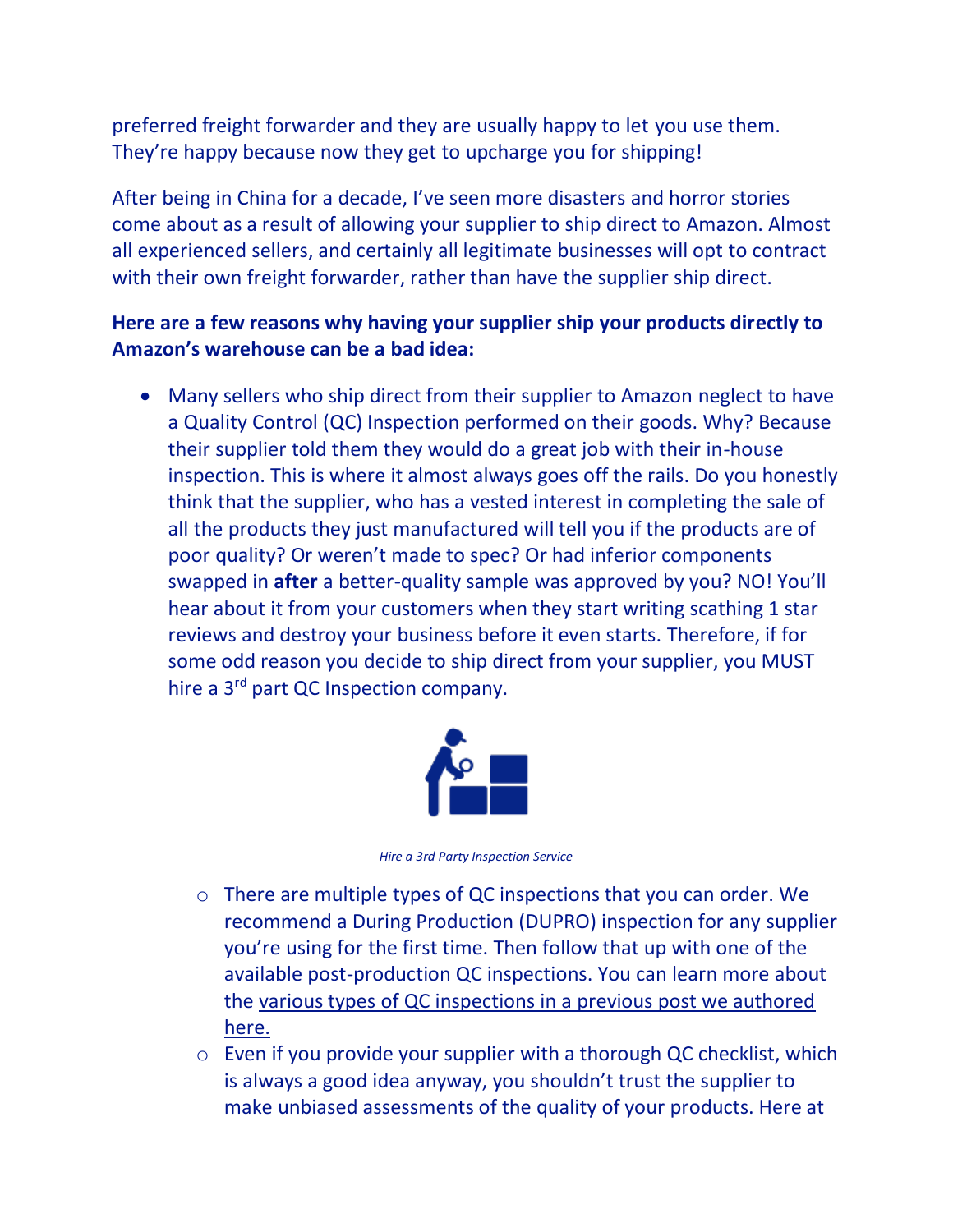preferred freight forwarder and they are usually happy to let you use them. They're happy because now they get to upcharge you for shipping!

After being in China for a decade, I've seen more disasters and horror stories come about as a result of allowing your supplier to ship direct to Amazon. Almost all experienced sellers, and certainly all legitimate businesses will opt to contract with their own freight forwarder, rather than have the supplier ship direct.

### **Here are a few reasons why having your supplier ship your products directly to Amazon's warehouse can be a bad idea:**

• Many sellers who ship direct from their supplier to Amazon neglect to have a Quality Control (QC) Inspection performed on their goods. Why? Because their supplier told them they would do a great job with their in-house inspection. This is where it almost always goes off the rails. Do you honestly think that the supplier, who has a vested interest in completing the sale of all the products they just manufactured will tell you if the products are of poor quality? Or weren't made to spec? Or had inferior components swapped in **after** a better-quality sample was approved by you? NO! You'll hear about it from your customers when they start writing scathing 1 star reviews and destroy your business before it even starts. Therefore, if for some odd reason you decide to ship direct from your supplier, you MUST hire a 3<sup>rd</sup> part QC Inspection company.



*Hire a 3rd Party Inspection Service* 

- o There are multiple types of QC inspections that you can order. We recommend a During Production (DUPRO) inspection for any supplier you're using for the first time. Then follow that up with one of the available post-production QC inspections. You can learn more about the [various types of QC inspections in a previous post we authored](http://guidedimports.com/a-simple-guide-to-the-4-types-of-factory-inspections-and-when-to-use-them/)  [here.](http://guidedimports.com/a-simple-guide-to-the-4-types-of-factory-inspections-and-when-to-use-them/)
- o Even if you provide your supplier with a thorough QC checklist, which is always a good idea anyway, you shouldn't trust the supplier to make unbiased assessments of the quality of your products. Here at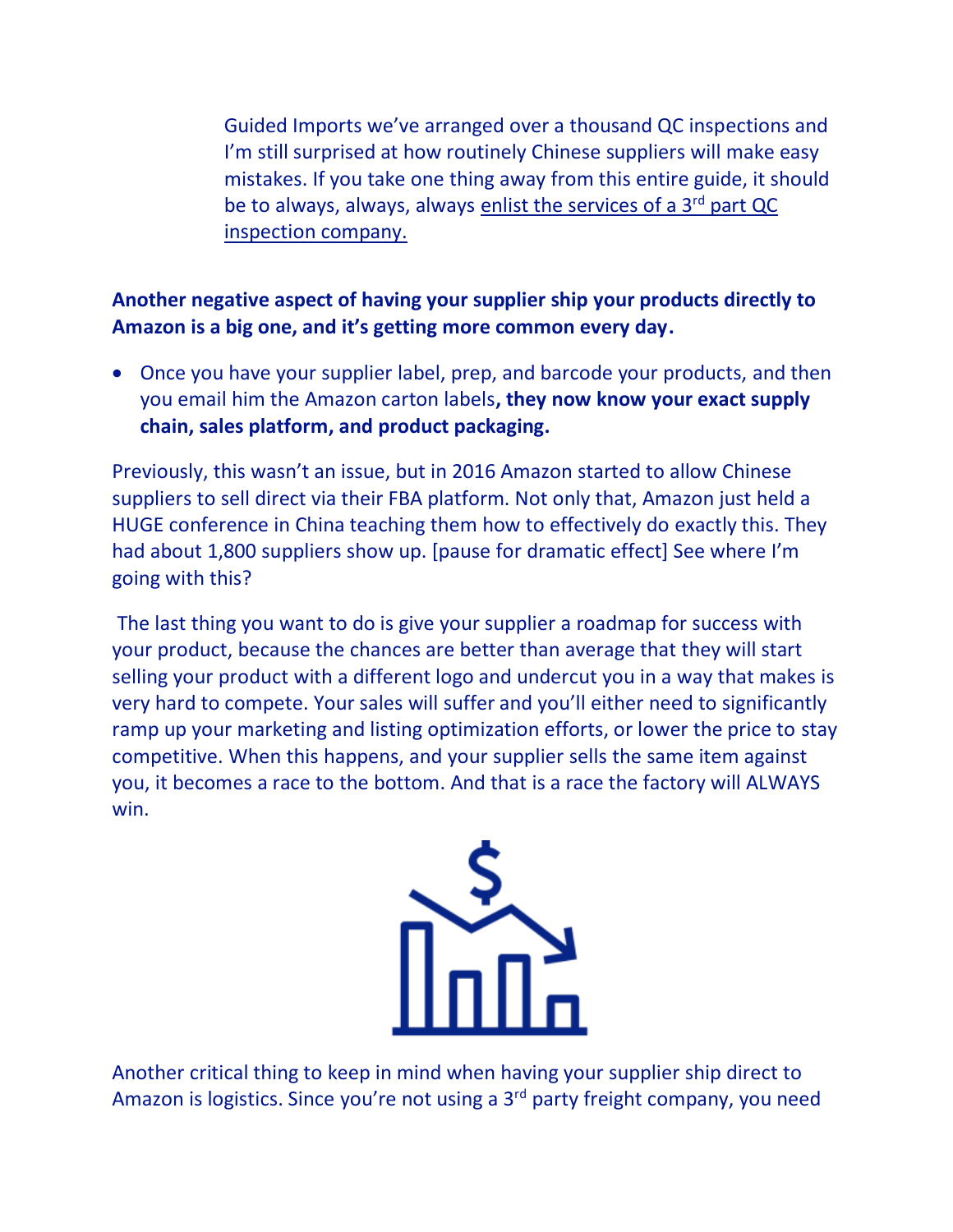Guided Imports we've arranged over a thousand QC inspections and I'm still surprised at how routinely Chinese suppliers will make easy mistakes. If you take one thing away from this entire guide, it should be to always, always, always [enlist the services of a 3](http://guidedimports.com/qc-inspection-service/)<sup>rd</sup> part QC [inspection company.](http://guidedimports.com/qc-inspection-service/) 

# **Another negative aspect of having your supplier ship your products directly to Amazon is a big one, and it's getting more common every day.**

• Once you have your supplier label, prep, and barcode your products, and then you email him the Amazon carton labels**, they now know your exact supply chain, sales platform, and product packaging.** 

Previously, this wasn't an issue, but in 2016 Amazon started to allow Chinese suppliers to sell direct via their FBA platform. Not only that, Amazon just held a HUGE conference in China teaching them how to effectively do exactly this. They had about 1,800 suppliers show up. [pause for dramatic effect] See where I'm going with this?

 The last thing you want to do is give your supplier a roadmap for success with your product, because the chances are better than average that they will start selling your product with a different logo and undercut you in a way that makes is very hard to compete. Your sales will suffer and you'll either need to significantly ramp up your marketing and listing optimization efforts, or lower the price to stay competitive. When this happens, and your supplier sells the same item against you, it becomes a race to the bottom. And that is a race the factory will ALWAYS win.



Another critical thing to keep in mind when having your supplier ship direct to Amazon is logistics. Since you're not using a 3<sup>rd</sup> party freight company, you need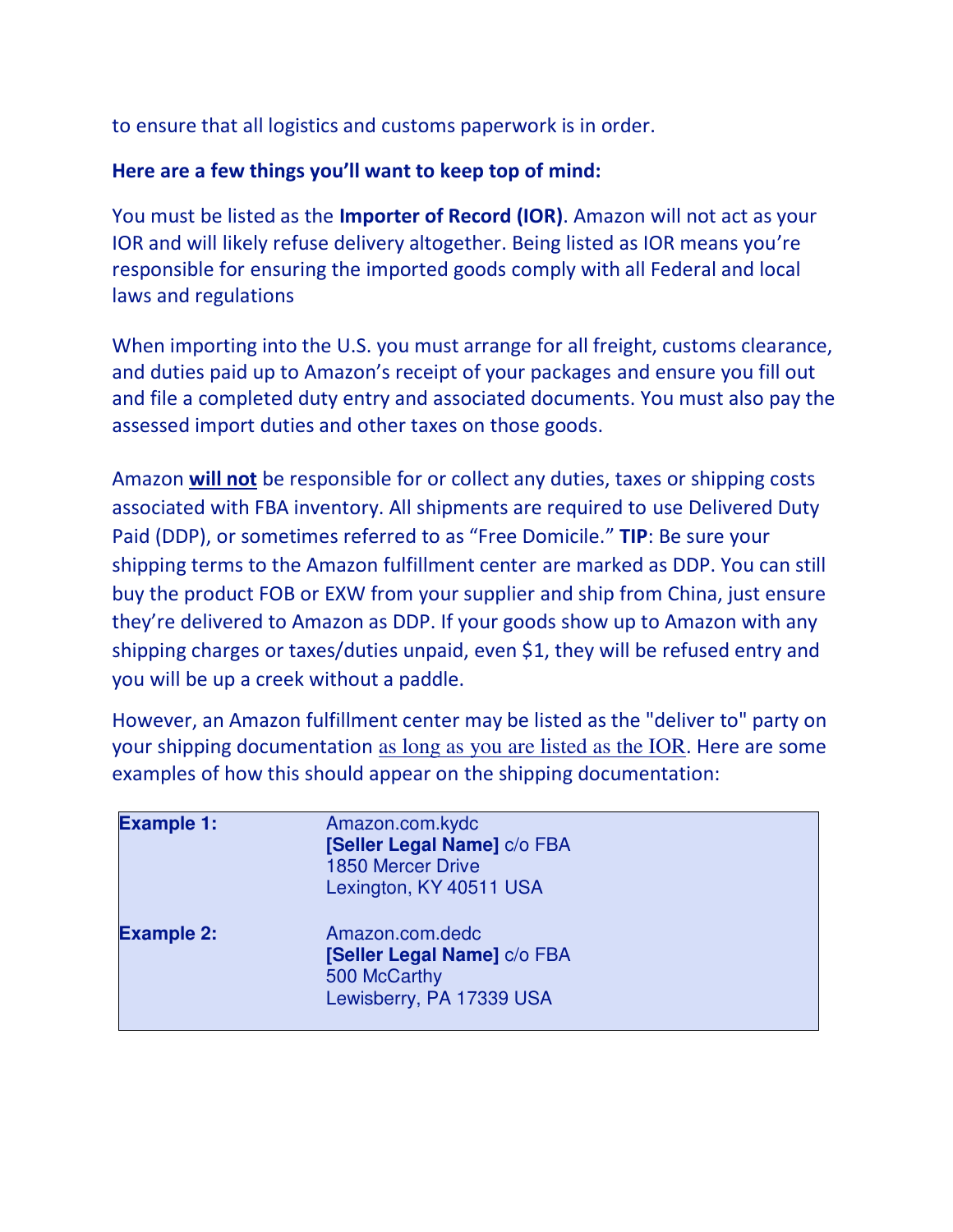to ensure that all logistics and customs paperwork is in order.

### **Here are a few things you'll want to keep top of mind:**

You must be listed as the **Importer of Record (IOR)**. Amazon will not act as your IOR and will likely refuse delivery altogether. Being listed as IOR means you're responsible for ensuring the imported goods comply with all Federal and local laws and regulations

When importing into the U.S. you must arrange for all freight, customs clearance, and duties paid up to Amazon's receipt of your packages and ensure you fill out and file a completed duty entry and associated documents. You must also pay the assessed import duties and other taxes on those goods.

Amazon **will not** be responsible for or collect any duties, taxes or shipping costs associated with FBA inventory. All shipments are required to use Delivered Duty Paid (DDP), or sometimes referred to as "Free Domicile." **TIP**: Be sure your shipping terms to the Amazon fulfillment center are marked as DDP. You can still buy the product FOB or EXW from your supplier and ship from China, just ensure they're delivered to Amazon as DDP. If your goods show up to Amazon with any shipping charges or taxes/duties unpaid, even \$1, they will be refused entry and you will be up a creek without a paddle.

However, an Amazon fulfillment center may be listed as the "deliver to" party on your shipping documentation as long as you are listed as the IOR. Here are some examples of how this should appear on the shipping documentation:

| <b>Example 1:</b> | Amazon.com.kydc<br>[Seller Legal Name] c/o FBA<br><b>1850 Mercer Drive</b><br>Lexington, KY 40511 USA |  |
|-------------------|-------------------------------------------------------------------------------------------------------|--|
| <b>Example 2:</b> | Amazon.com.dedc<br>[Seller Legal Name] c/o FBA<br>500 McCarthy<br>Lewisberry, PA 17339 USA            |  |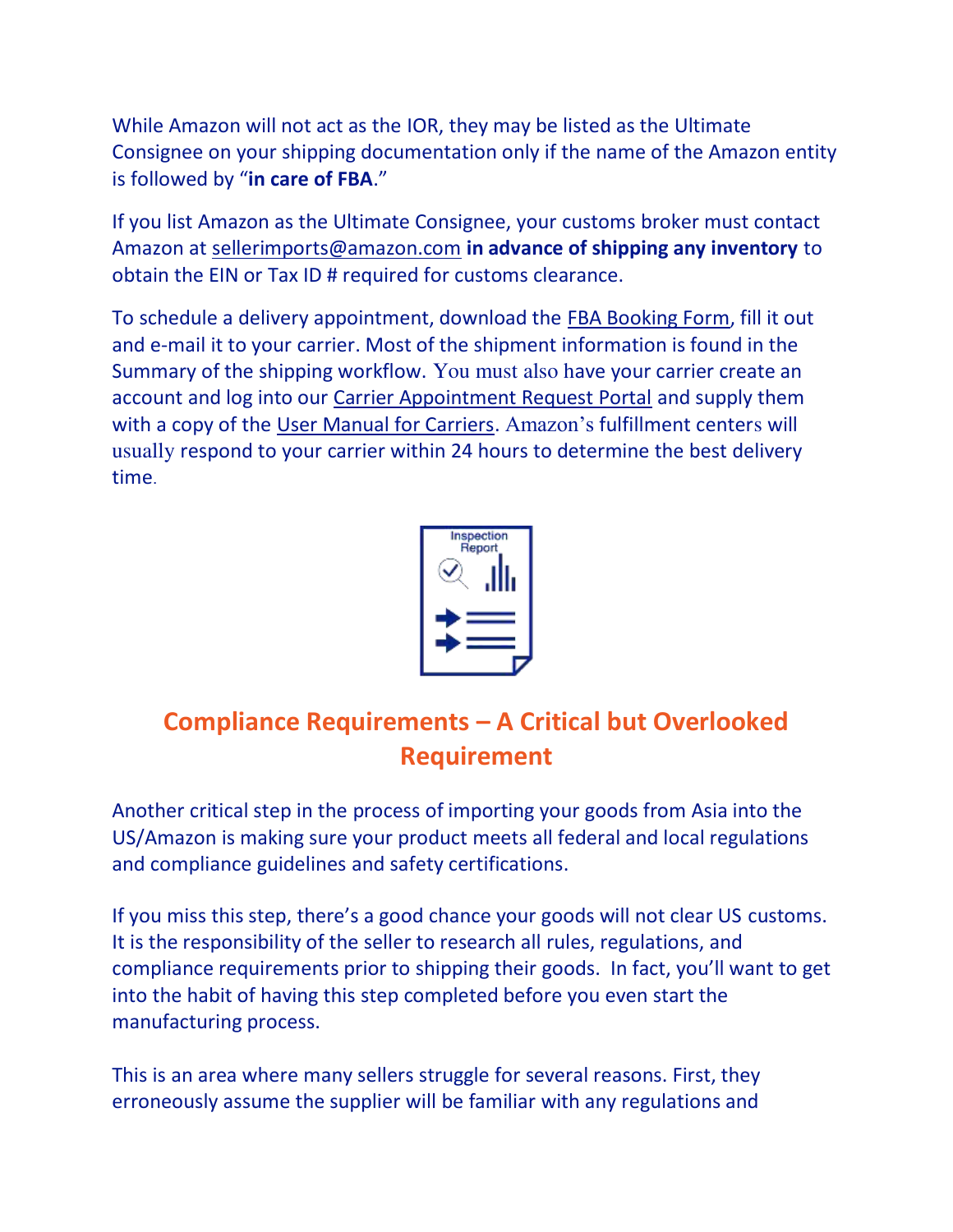While Amazon will not act as the IOR, they may be listed as the Ultimate Consignee on your shipping documentation only if the name of the Amazon entity is followed by "**in care of FBA**."

If you list Amazon as the Ultimate Consignee, your customs broker must contact Amazon at [sellerimports@amazon.com](mailto:sellerimports@amazon.com) **in advance of shipping any inventory** to obtain the EIN or Tax ID # required for customs clearance.

To schedule a delivery appointment, download the [FBA Booking Form,](https://images-na.ssl-images-amazon.com/images/G/01/fba-help/FBABookingForm_US.xls) fill it out and e-mail it to your carrier. Most of the shipment information is found in the Summary of the shipping workflow. You must also have your carrier create an account and log into our [Carrier Appointment Request Portal](http://transportation.amazon.com/) and supply them with a copy of the [User Manual for Carriers.](https://images-na.ssl-images-amazon.com/images/G/01/fba-help/User_Manual_for_Carriers.pdf) Amazon's fulfillment centers will usually respond to your carrier within 24 hours to determine the best delivery time.



# **Compliance Requirements – A Critical but Overlooked Requirement**

Another critical step in the process of importing your goods from Asia into the US/Amazon is making sure your product meets all federal and local regulations and compliance guidelines and safety certifications.

If you miss this step, there's a good chance your goods will not clear US customs. It is the responsibility of the seller to research all rules, regulations, and compliance requirements prior to shipping their goods. In fact, you'll want to get into the habit of having this step completed before you even start the manufacturing process.

This is an area where many sellers struggle for several reasons. First, they erroneously assume the supplier will be familiar with any regulations and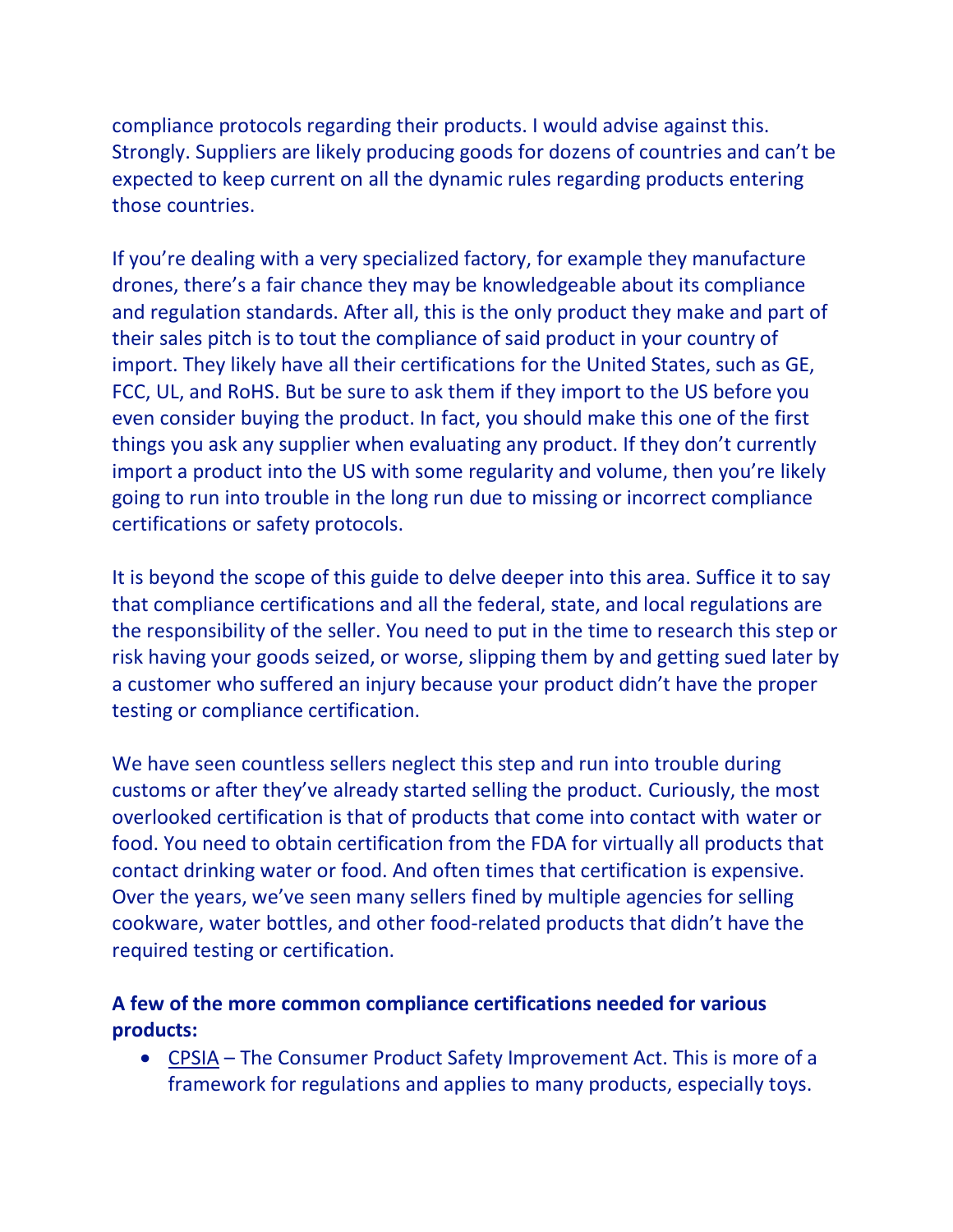compliance protocols regarding their products. I would advise against this. Strongly. Suppliers are likely producing goods for dozens of countries and can't be expected to keep current on all the dynamic rules regarding products entering those countries.

If you're dealing with a very specialized factory, for example they manufacture drones, there's a fair chance they may be knowledgeable about its compliance and regulation standards. After all, this is the only product they make and part of their sales pitch is to tout the compliance of said product in your country of import. They likely have all their certifications for the United States, such as GE, FCC, UL, and RoHS. But be sure to ask them if they import to the US before you even consider buying the product. In fact, you should make this one of the first things you ask any supplier when evaluating any product. If they don't currently import a product into the US with some regularity and volume, then you're likely going to run into trouble in the long run due to missing or incorrect compliance certifications or safety protocols.

It is beyond the scope of this guide to delve deeper into this area. Suffice it to say that compliance certifications and all the federal, state, and local regulations are the responsibility of the seller. You need to put in the time to research this step or risk having your goods seized, or worse, slipping them by and getting sued later by a customer who suffered an injury because your product didn't have the proper testing or compliance certification.

We have seen countless sellers neglect this step and run into trouble during customs or after they've already started selling the product. Curiously, the most overlooked certification is that of products that come into contact with water or food. You need to obtain certification from the FDA for virtually all products that contact drinking water or food. And often times that certification is expensive. Over the years, we've seen many sellers fined by multiple agencies for selling cookware, water bottles, and other food-related products that didn't have the required testing or certification.

### **A few of the more common compliance certifications needed for various products:**

• [CPSIA](https://www.cpsc.gov/Regulations-Laws--Standards/Statutes/The-Consumer-Product-Safety-Improvement-Act/) – The Consumer Product Safety Improvement Act. This is more of a framework for regulations and applies to many products, especially toys.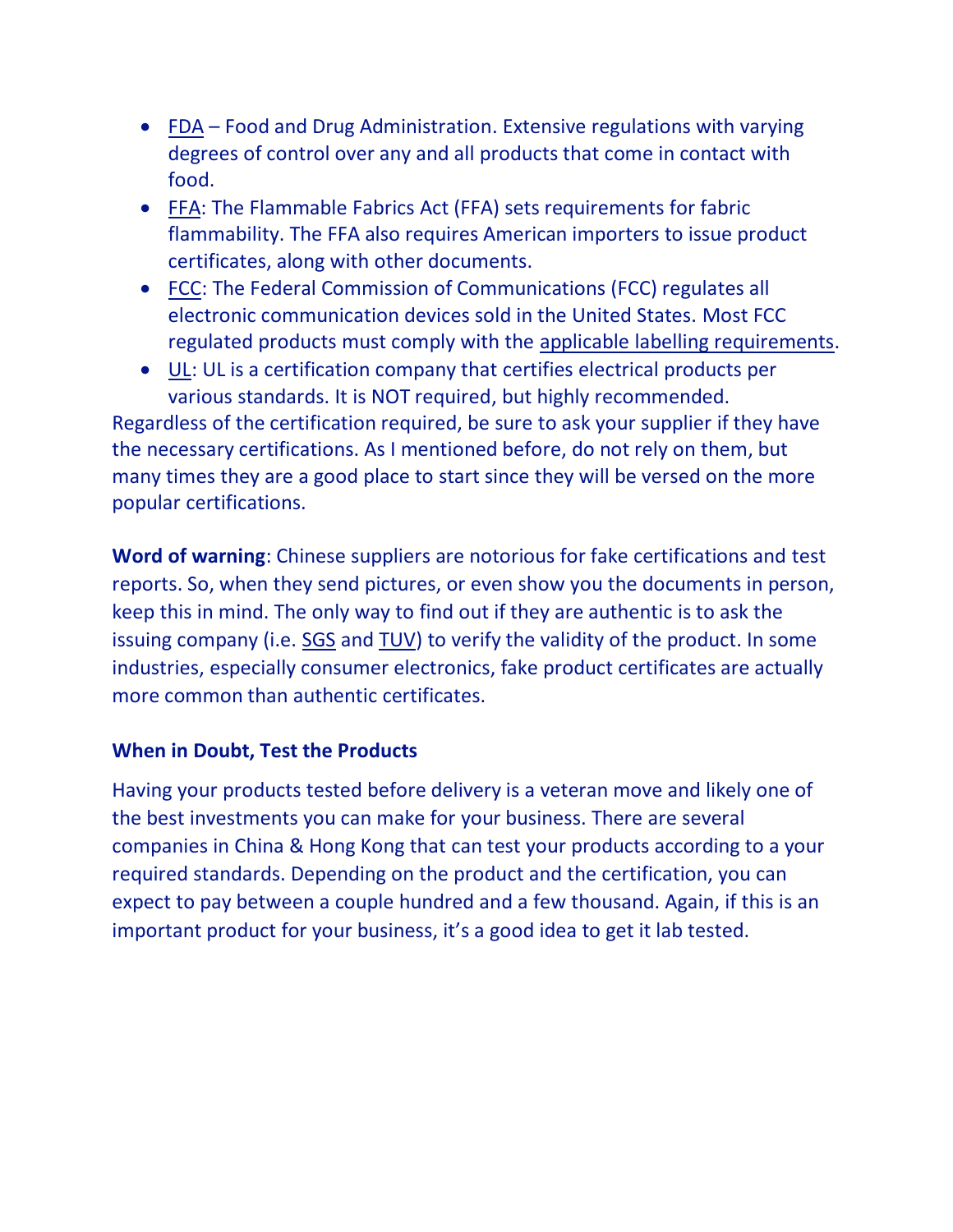- [FDA](https://www.fda.gov/Food/GuidanceRegulation/RetailFoodProtection/FoodCode/ucm374275.htm)  Food and Drug Administration. Extensive regulations with varying degrees of control over any and all products that come in contact with food.
- [FFA:](https://www.cpsc.gov/regulations-laws--standards/statutes/flammable-fabrics-act) The Flammable Fabrics Act (FFA) sets requirements for fabric flammability. The FFA also requires American importers to issue product certificates, along with other documents.
- [FCC:](https://www.fcc.gov/) The Federal Commission of Communications (FCC) regulates all electronic communication devices sold in the United States. Most FCC regulated products must comply with the [applicable labelling requirements.](http://www.chinaimportal.com/blog/product-labeling-regulations-us-eu-australia/)
- [UL:](http://www.ul.com/marks/ul-listing-and-classification-marks/promotion-and-advertising-guidelines/specific-guidelines-and-rules/) UL is a certification company that certifies electrical products per various standards. It is NOT required, but highly recommended.

Regardless of the certification required, be sure to ask your supplier if they have the necessary certifications. As I mentioned before, do not rely on them, but many times they are a good place to start since they will be versed on the more popular certifications.

**Word of warning**: Chinese suppliers are notorious for fake certifications and test reports. So, when they send pictures, or even show you the documents in person, keep this in mind. The only way to find out if they are authentic is to ask the issuing company (i.e. [SGS a](http://www.sgsgroup.com.hk/)nd [TUV\)](http://www.tuv.com/en/greater_china/home.jsp) to verify the validity of the product. In some industries, especially consumer electronics, fake product certificates are actually more common than authentic certificates.

#### **When in Doubt, Test the Products**

Having your products tested before delivery is a veteran move and likely one of the best investments you can make for your business. There are several companies in China & Hong Kong that can test your products according to a your required standards. Depending on the product and the certification, you can expect to pay between a couple hundred and a few thousand. Again, if this is an important product for your business, it's a good idea to get it lab tested.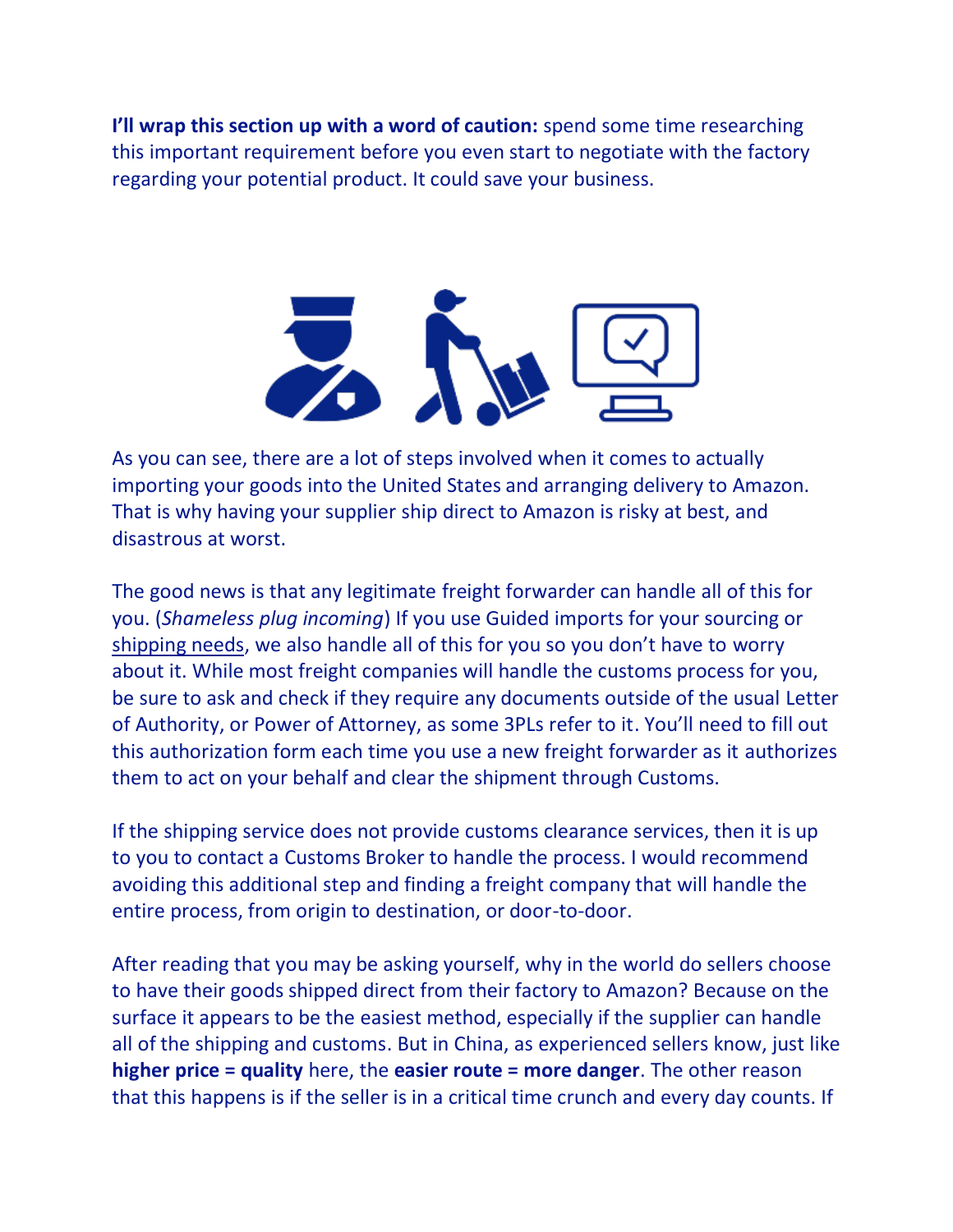**I'll wrap this section up with a word of caution:** spend some time researching this important requirement before you even start to negotiate with the factory regarding your potential product. It could save your business.



As you can see, there are a lot of steps involved when it comes to actually importing your goods into the United States and arranging delivery to Amazon. That is why having your supplier ship direct to Amazon is risky at best, and disastrous at worst.

The good news is that any legitimate freight forwarder can handle all of this for you. (*Shameless plug incoming*) If you use Guided imports for your sourcing or [shipping needs](http://guidedimports.com/freight-forwarding/), we also handle all of this for you so you don't have to worry about it. While most freight companies will handle the customs process for you, be sure to ask and check if they require any documents outside of the usual Letter of Authority, or Power of Attorney, as some 3PLs refer to it. You'll need to fill out this authorization form each time you use a new freight forwarder as it authorizes them to act on your behalf and clear the shipment through Customs.

If the shipping service does not provide customs clearance services, then it is up to you to contact a Customs Broker to handle the process. I would recommend avoiding this additional step and finding a freight company that will handle the entire process, from origin to destination, or door-to-door.

After reading that you may be asking yourself, why in the world do sellers choose to have their goods shipped direct from their factory to Amazon? Because on the surface it appears to be the easiest method, especially if the supplier can handle all of the shipping and customs. But in China, as experienced sellers know, just like **higher price = quality** here, the **easier route = more danger**. The other reason that this happens is if the seller is in a critical time crunch and every day counts. If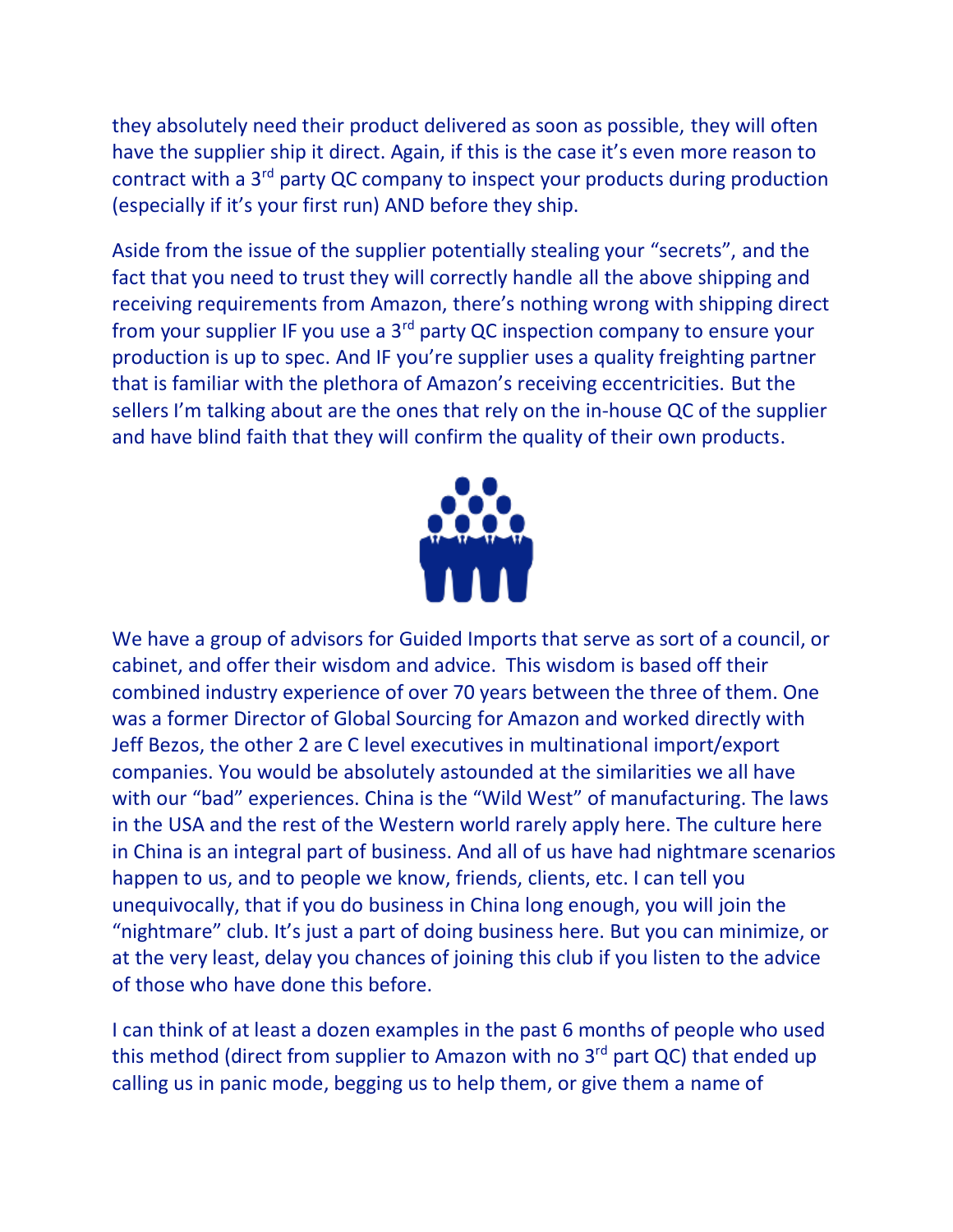they absolutely need their product delivered as soon as possible, they will often have the supplier ship it direct. Again, if this is the case it's even more reason to contract with a 3rd party QC company to inspect your products during production (especially if it's your first run) AND before they ship.

Aside from the issue of the supplier potentially stealing your "secrets", and the fact that you need to trust they will correctly handle all the above shipping and receiving requirements from Amazon, there's nothing wrong with shipping direct from your supplier IF you use a 3rd party QC inspection company to ensure your production is up to spec. And IF you're supplier uses a quality freighting partner that is familiar with the plethora of Amazon's receiving eccentricities. But the sellers I'm talking about are the ones that rely on the in-house QC of the supplier and have blind faith that they will confirm the quality of their own products.



We have a group of advisors for Guided Imports that serve as sort of a council, or cabinet, and offer their wisdom and advice. This wisdom is based off their combined industry experience of over 70 years between the three of them. One was a former Director of Global Sourcing for Amazon and worked directly with Jeff Bezos, the other 2 are C level executives in multinational import/export companies. You would be absolutely astounded at the similarities we all have with our "bad" experiences. China is the "Wild West" of manufacturing. The laws in the USA and the rest of the Western world rarely apply here. The culture here in China is an integral part of business. And all of us have had nightmare scenarios happen to us, and to people we know, friends, clients, etc. I can tell you unequivocally, that if you do business in China long enough, you will join the "nightmare" club. It's just a part of doing business here. But you can minimize, or at the very least, delay you chances of joining this club if you listen to the advice of those who have done this before.

I can think of at least a dozen examples in the past 6 months of people who used this method (direct from supplier to Amazon with no  $3<sup>rd</sup>$  part QC) that ended up calling us in panic mode, begging us to help them, or give them a name of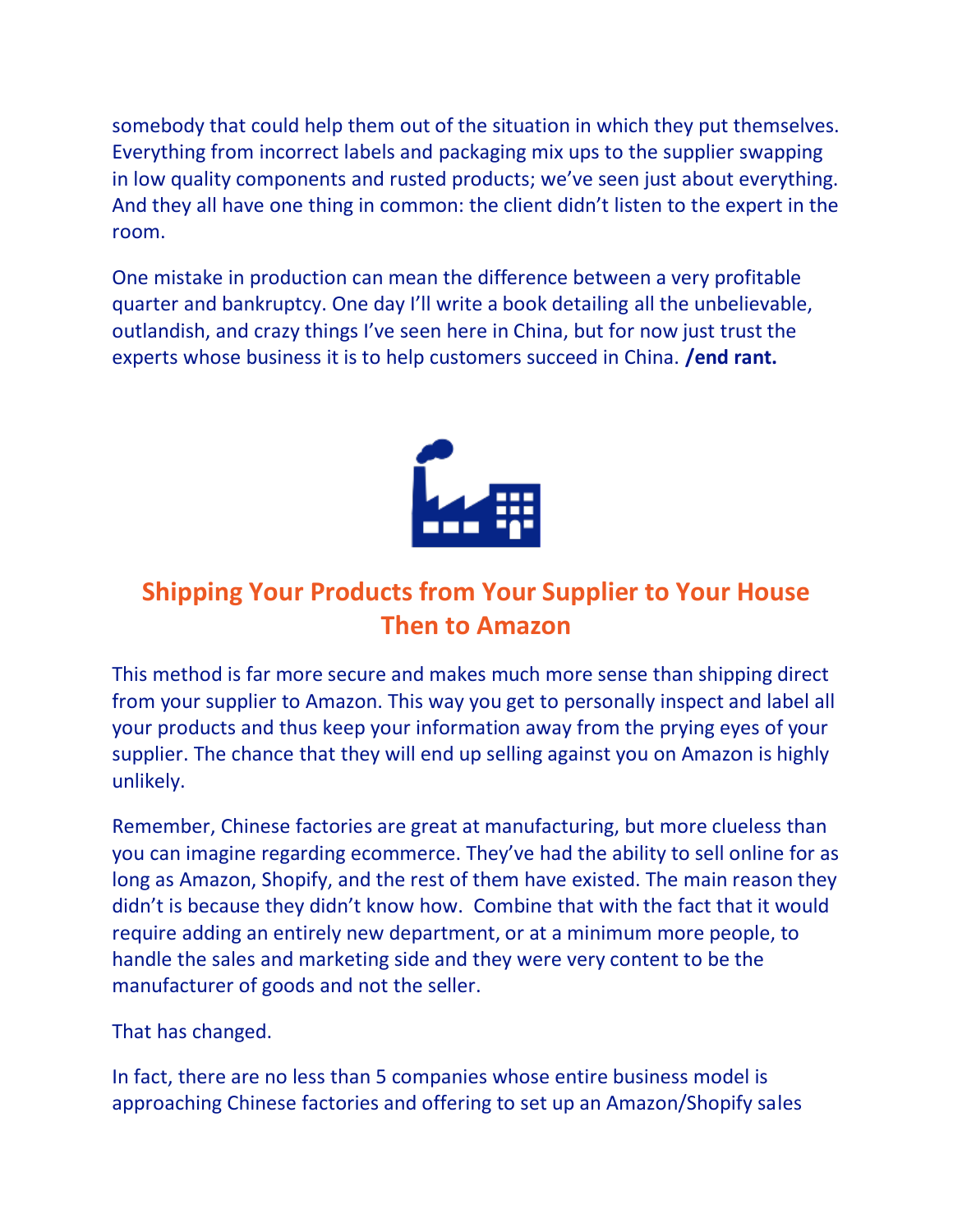somebody that could help them out of the situation in which they put themselves. Everything from incorrect labels and packaging mix ups to the supplier swapping in low quality components and rusted products; we've seen just about everything. And they all have one thing in common: the client didn't listen to the expert in the room.

One mistake in production can mean the difference between a very profitable quarter and bankruptcy. One day I'll write a book detailing all the unbelievable, outlandish, and crazy things I've seen here in China, but for now just trust the experts whose business it is to help customers succeed in China. **/end rant.** 



# **Shipping Your Products from Your Supplier to Your House Then to Amazon**

This method is far more secure and makes much more sense than shipping direct from your supplier to Amazon. This way you get to personally inspect and label all your products and thus keep your information away from the prying eyes of your supplier. The chance that they will end up selling against you on Amazon is highly unlikely.

Remember, Chinese factories are great at manufacturing, but more clueless than you can imagine regarding ecommerce. They've had the ability to sell online for as long as Amazon, Shopify, and the rest of them have existed. The main reason they didn't is because they didn't know how. Combine that with the fact that it would require adding an entirely new department, or at a minimum more people, to handle the sales and marketing side and they were very content to be the manufacturer of goods and not the seller.

That has changed.

In fact, there are no less than 5 companies whose entire business model is approaching Chinese factories and offering to set up an Amazon/Shopify sales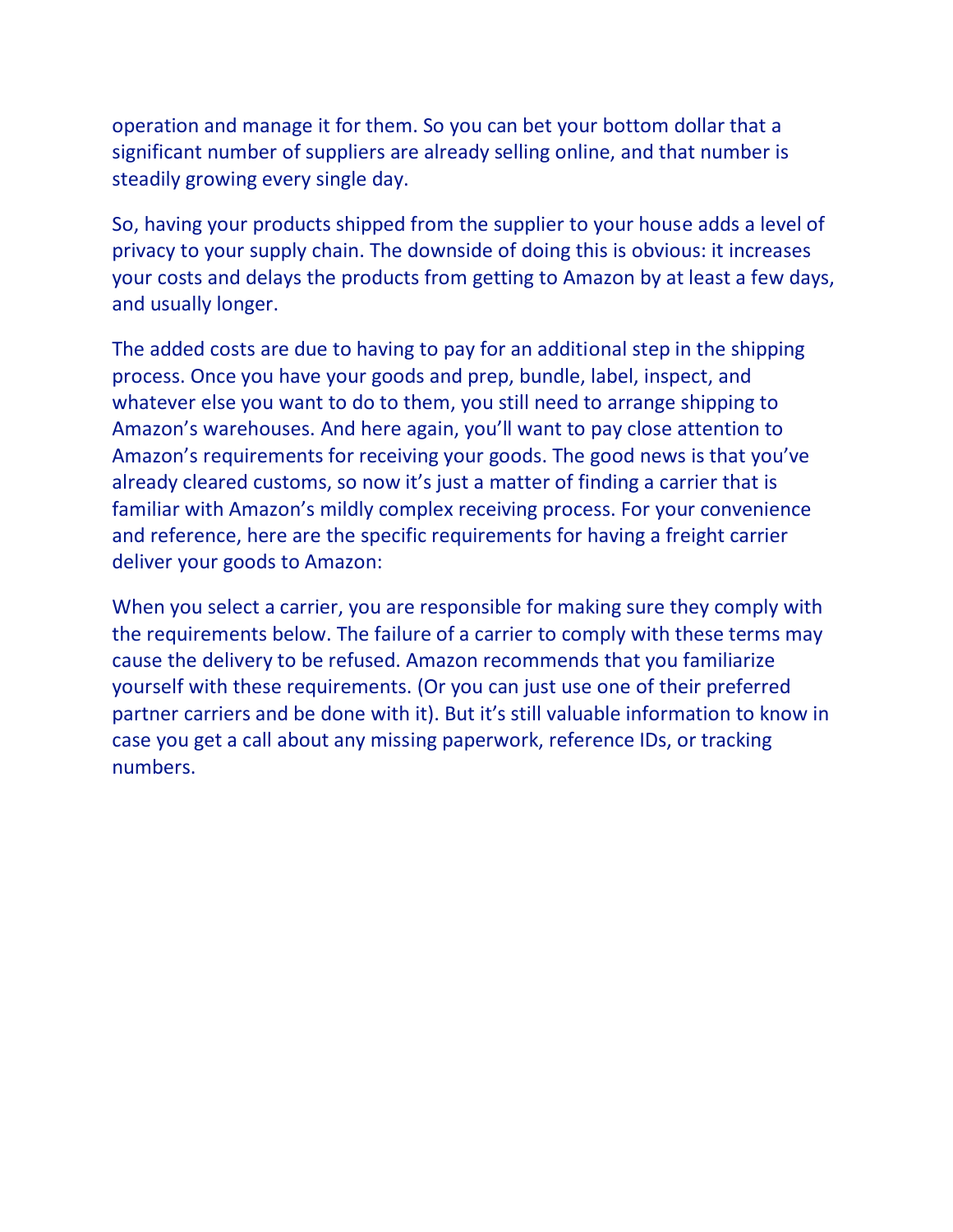operation and manage it for them. So you can bet your bottom dollar that a significant number of suppliers are already selling online, and that number is steadily growing every single day.

So, having your products shipped from the supplier to your house adds a level of privacy to your supply chain. The downside of doing this is obvious: it increases your costs and delays the products from getting to Amazon by at least a few days, and usually longer.

The added costs are due to having to pay for an additional step in the shipping process. Once you have your goods and prep, bundle, label, inspect, and whatever else you want to do to them, you still need to arrange shipping to Amazon's warehouses. And here again, you'll want to pay close attention to Amazon's requirements for receiving your goods. The good news is that you've already cleared customs, so now it's just a matter of finding a carrier that is familiar with Amazon's mildly complex receiving process. For your convenience and reference, here are the specific requirements for having a freight carrier deliver your goods to Amazon:

When you select a carrier, you are responsible for making sure they comply with the requirements below. The failure of a carrier to comply with these terms may cause the delivery to be refused. Amazon recommends that you familiarize yourself with these requirements. (Or you can just use one of their preferred partner carriers and be done with it). But it's still valuable information to know in case you get a call about any missing paperwork, reference IDs, or tracking numbers.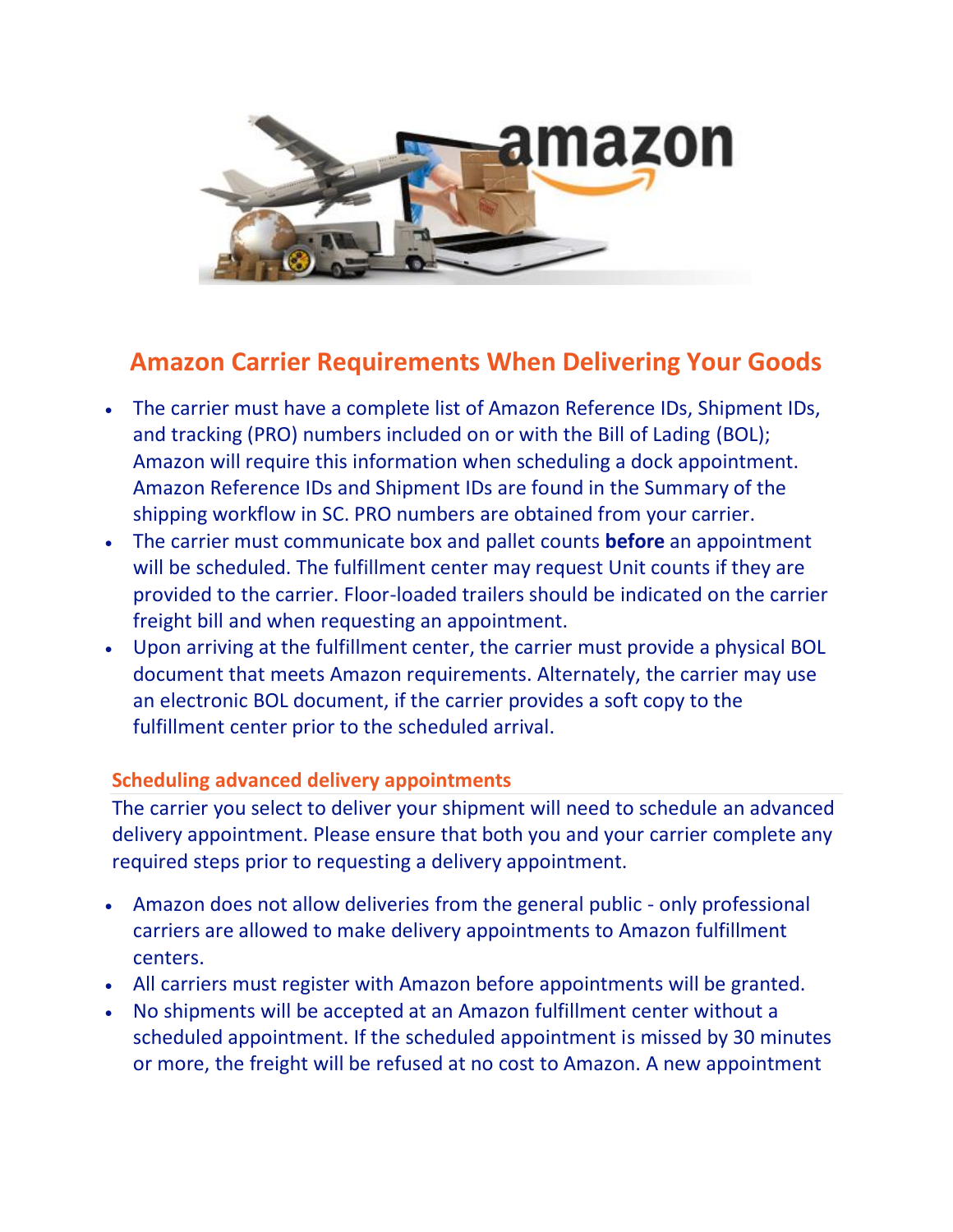

# **Amazon Carrier Requirements When Delivering Your Goods**

- The carrier must have a complete list of Amazon Reference IDs, Shipment IDs, and tracking (PRO) numbers included on or with the Bill of Lading (BOL); Amazon will require this information when scheduling a dock appointment. Amazon Reference IDs and Shipment IDs are found in the Summary of the shipping workflow in SC. PRO numbers are obtained from your carrier.
- The carrier must communicate box and pallet counts **before** an appointment will be scheduled. The fulfillment center may request Unit counts if they are provided to the carrier. Floor-loaded trailers should be indicated on the carrier freight bill and when requesting an appointment.
- Upon arriving at the fulfillment center, the carrier must provide a physical BOL document that meets Amazon requirements. Alternately, the carrier may use an electronic BOL document, if the carrier provides a soft copy to the fulfillment center prior to the scheduled arrival.

# **Scheduling advanced delivery appointments**

The carrier you select to deliver your shipment will need to schedule an advanced delivery appointment. Please ensure that both you and your carrier complete any required steps prior to requesting a delivery appointment.

- Amazon does not allow deliveries from the general public only professional carriers are allowed to make delivery appointments to Amazon fulfillment centers.
- All carriers must register with Amazon before appointments will be granted.
- No shipments will be accepted at an Amazon fulfillment center without a scheduled appointment. If the scheduled appointment is missed by 30 minutes or more, the freight will be refused at no cost to Amazon. A new appointment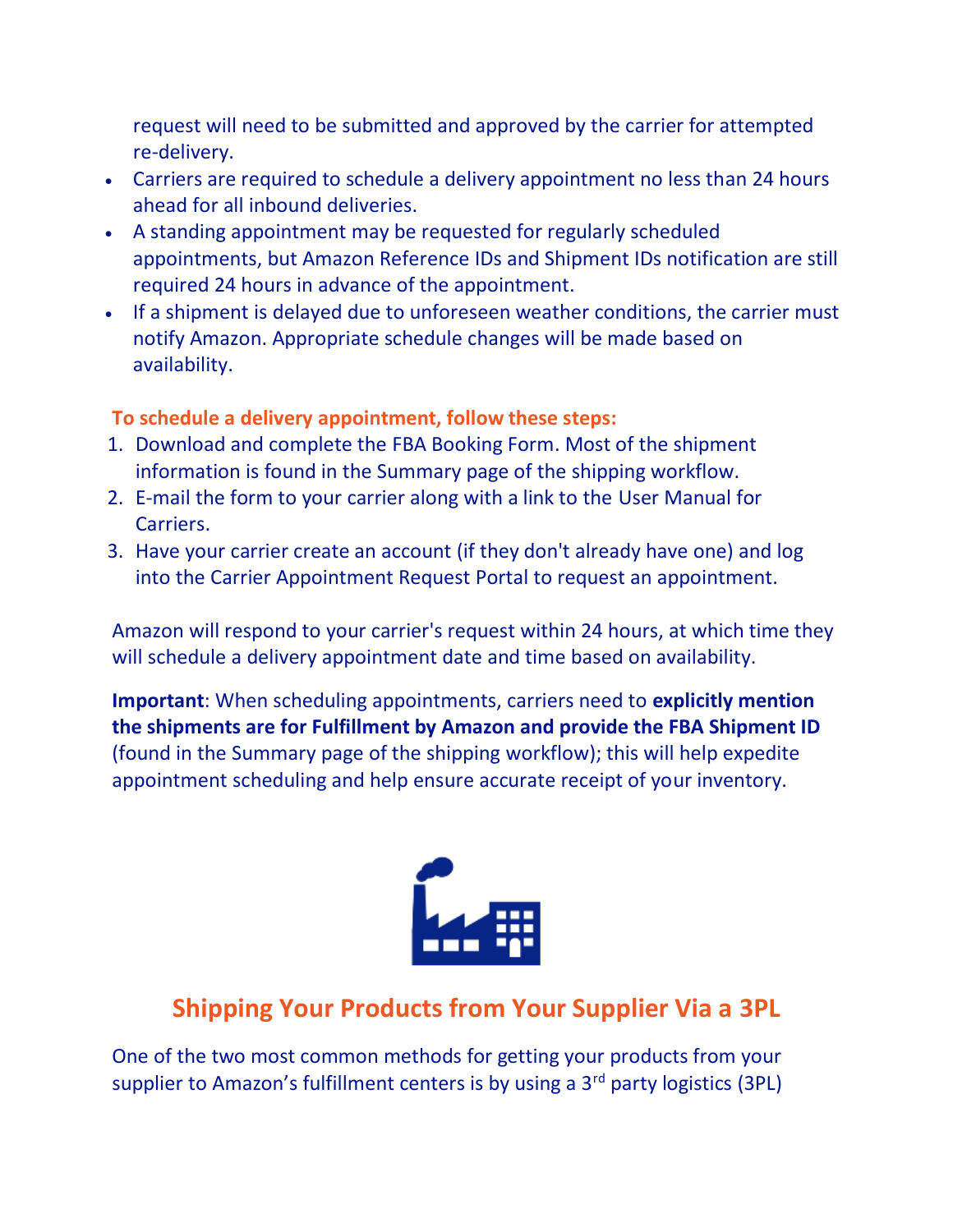request will need to be submitted and approved by the carrier for attempted re-delivery.

- Carriers are required to schedule a delivery appointment no less than 24 hours ahead for all inbound deliveries.
- A standing appointment may be requested for regularly scheduled appointments, but Amazon Reference IDs and Shipment IDs notification are still required 24 hours in advance of the appointment.
- If a shipment is delayed due to unforeseen weather conditions, the carrier must notify Amazon. Appropriate schedule changes will be made based on availability.

#### **To schedule a delivery appointment, follow these steps:**

- 1. Download and complete the [FBA Booking Form.](https://images-na.ssl-images-amazon.com/images/G/01/fba-help/FBABookingForm_US.xls) Most of the shipment information is found in the Summary page of the shipping workflow.
- 2. E-mail the form to your carrier along with a link to the [User Manual for](http://g-ecx.images-amazon.com/images/G/01/fba-help/User_Manual_for_Carriers.pdf)  [Carriers.](http://g-ecx.images-amazon.com/images/G/01/fba-help/User_Manual_for_Carriers.pdf)
- 3. Have your carrier create an account (if they don't already have one) and log into the [Carrier Appointment Request Portal](http://transportation.amazon.com/) to request an appointment.

Amazon will respond to your carrier's request within 24 hours, at which time they will schedule a delivery appointment date and time based on availability.

**Important**: When scheduling appointments, carriers need to **explicitly mention the shipments are for Fulfillment by Amazon and provide the FBA Shipment ID** (found in the Summary page of the shipping workflow); this will help expedite appointment scheduling and help ensure accurate receipt of your inventory.



# **Shipping Your Products from Your Supplier Via a 3PL**

One of the two most common methods for getting your products from your supplier to Amazon's fulfillment centers is by using a 3<sup>rd</sup> party logistics (3PL)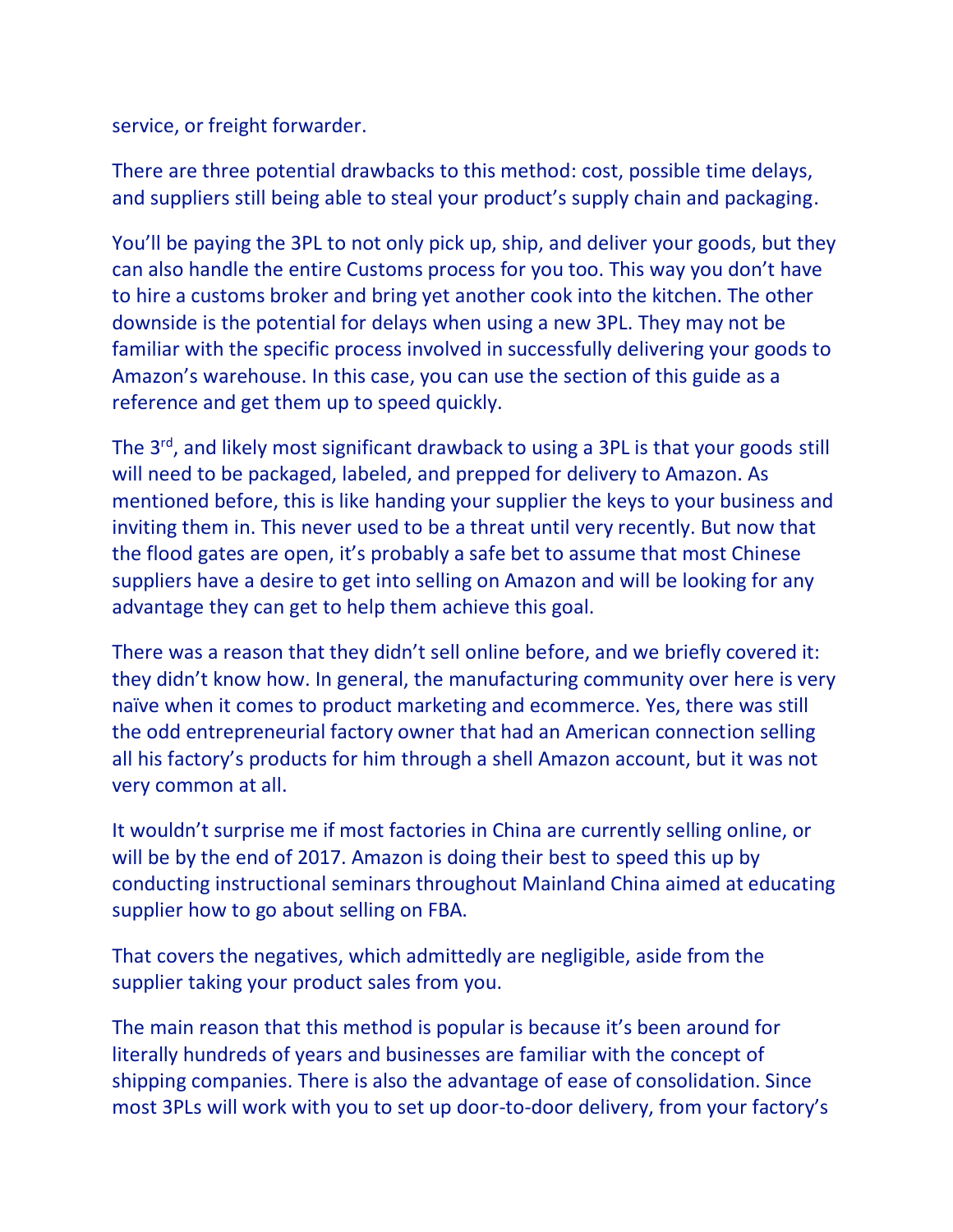service, or freight forwarder.

There are three potential drawbacks to this method: cost, possible time delays, and suppliers still being able to steal your product's supply chain and packaging.

You'll be paying the 3PL to not only pick up, ship, and deliver your goods, but they can also handle the entire Customs process for you too. This way you don't have to hire a customs broker and bring yet another cook into the kitchen. The other downside is the potential for delays when using a new 3PL. They may not be familiar with the specific process involved in successfully delivering your goods to Amazon's warehouse. In this case, you can use the section of this guide as a reference and get them up to speed quickly.

The 3<sup>rd</sup>, and likely most significant drawback to using a 3PL is that your goods still will need to be packaged, labeled, and prepped for delivery to Amazon. As mentioned before, this is like handing your supplier the keys to your business and inviting them in. This never used to be a threat until very recently. But now that the flood gates are open, it's probably a safe bet to assume that most Chinese suppliers have a desire to get into selling on Amazon and will be looking for any advantage they can get to help them achieve this goal.

There was a reason that they didn't sell online before, and we briefly covered it: they didn't know how. In general, the manufacturing community over here is very naïve when it comes to product marketing and ecommerce. Yes, there was still the odd entrepreneurial factory owner that had an American connection selling all his factory's products for him through a shell Amazon account, but it was not very common at all.

It wouldn't surprise me if most factories in China are currently selling online, or will be by the end of 2017. Amazon is doing their best to speed this up by conducting instructional seminars throughout Mainland China aimed at educating supplier how to go about selling on FBA.

That covers the negatives, which admittedly are negligible, aside from the supplier taking your product sales from you.

The main reason that this method is popular is because it's been around for literally hundreds of years and businesses are familiar with the concept of shipping companies. There is also the advantage of ease of consolidation. Since most 3PLs will work with you to set up door-to-door delivery, from your factory's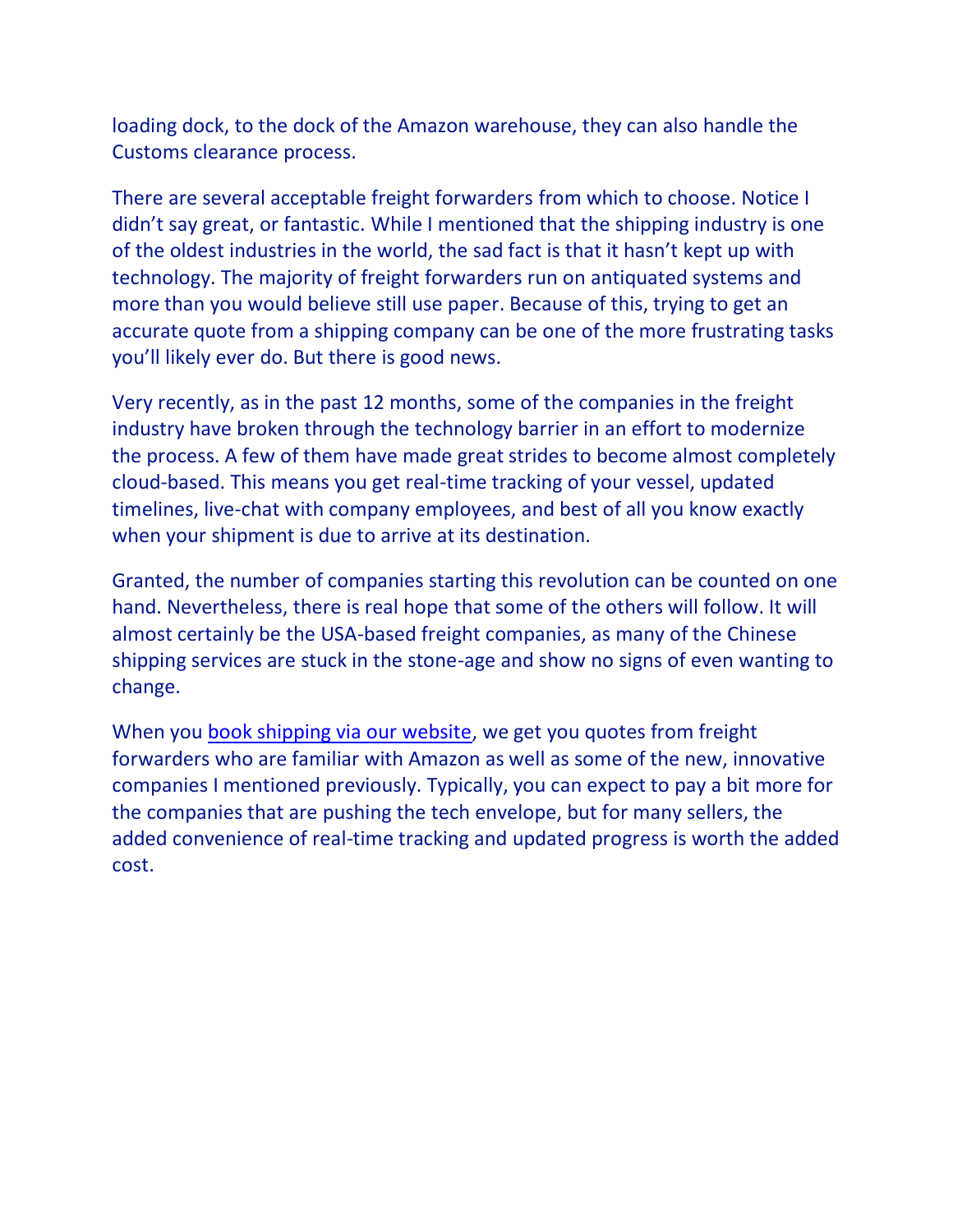loading dock, to the dock of the Amazon warehouse, they can also handle the Customs clearance process.

There are several acceptable freight forwarders from which to choose. Notice I didn't say great, or fantastic. While I mentioned that the shipping industry is one of the oldest industries in the world, the sad fact is that it hasn't kept up with technology. The majority of freight forwarders run on antiquated systems and more than you would believe still use paper. Because of this, trying to get an accurate quote from a shipping company can be one of the more frustrating tasks you'll likely ever do. But there is good news.

Very recently, as in the past 12 months, some of the companies in the freight industry have broken through the technology barrier in an effort to modernize the process. A few of them have made great strides to become almost completely cloud-based. This means you get real-time tracking of your vessel, updated timelines, live-chat with company employees, and best of all you know exactly when your shipment is due to arrive at its destination.

Granted, the number of companies starting this revolution can be counted on one hand. Nevertheless, there is real hope that some of the others will follow. It will almost certainly be the USA-based freight companies, as many of the Chinese shipping services are stuck in the stone-age and show no signs of even wanting to change.

When you [book shipping via our website,](http://guidedimports.com/freight-forwarding/) we get you quotes from freight forwarders who are familiar with Amazon as well as some of the new, innovative companies I mentioned previously. Typically, you can expect to pay a bit more for the companies that are pushing the tech envelope, but for many sellers, the added convenience of real-time tracking and updated progress is worth the added cost.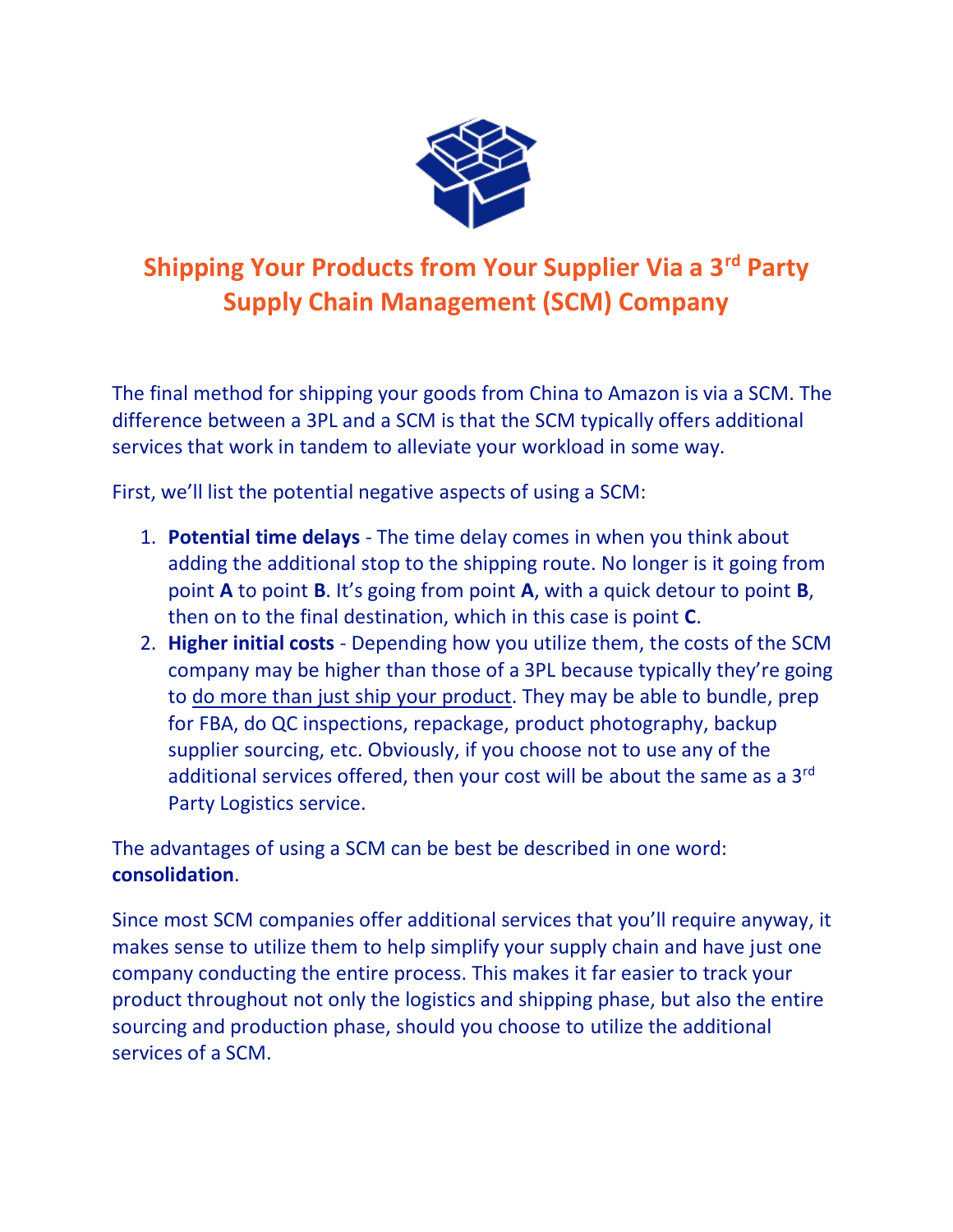

# **Shipping Your Products from Your Supplier Via a 3rd Party Supply Chain Management (SCM) Company**

The final method for shipping your goods from China to Amazon is via a SCM. The difference between a 3PL and a SCM is that the SCM typically offers additional services that work in tandem to alleviate your workload in some way.

First, we'll list the potential negative aspects of using a SCM:

- 1. **Potential time delays**  The time delay comes in when you think about adding the additional stop to the shipping route. No longer is it going from point **A** to point **B**. It's going from point **A**, with a quick detour to point **B**, then on to the final destination, which in this case is point **C**.
- 2. **Higher initial costs** Depending how you utilize them, the costs of the SCM company may be higher than those of a 3PL because typically they're going to do more than just ship your product. They may be able to bundle, prep for FBA, do QC inspections, repackage, product photography, backup supplier sourcing, etc. Obviously, if you choose not to use any of the additional services offered, then your cost will be about the same as a  $3<sup>rd</sup>$ Party Logistics service.

The advantages of using a SCM can be best be described in one word: **consolidation**.

Since most SCM companies offer additional services that you'll require anyway, it makes sense to utilize them to help simplify your supply chain and have just one company conducting the entire process. This makes it far easier to track your product throughout not only the logistics and shipping phase, but also the entire sourcing and production phase, should you choose to utilize the additional services of a SCM.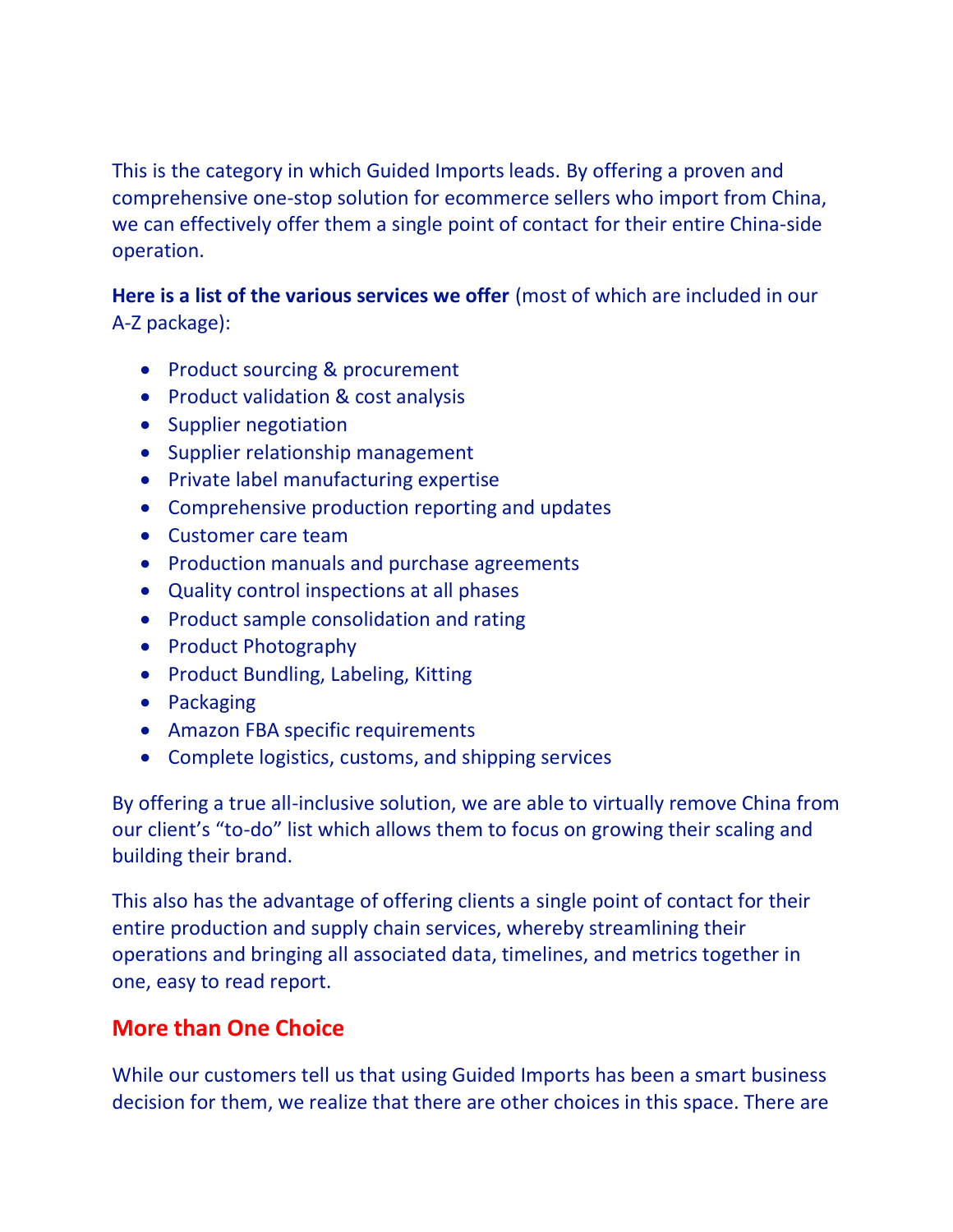This is the category in which Guided Imports leads. By offering a proven and comprehensive one-stop solution for ecommerce sellers who import from China, we can effectively offer them a single point of contact for their entire China-side operation.

**Here is a list of the various services we offer** (most of which are included in our A-Z package):

- Product sourcing & procurement
- Product validation & cost analysis
- Supplier negotiation
- Supplier relationship management
- Private label manufacturing expertise
- Comprehensive production reporting and updates
- Customer care team
- Production manuals and purchase agreements
- Quality control inspections at all phases
- Product sample consolidation and rating
- Product Photography
- Product Bundling, Labeling, Kitting
- Packaging
- Amazon FBA specific requirements
- Complete logistics, customs, and shipping services

By offering a true all-inclusive solution, we are able to virtually remove China from our client's "to-do" list which allows them to focus on growing their scaling and building their brand.

This also has the advantage of offering clients a single point of contact for their entire production and supply chain services, whereby streamlining their operations and bringing all associated data, timelines, and metrics together in one, easy to read report.

# **More than One Choice**

While our customers tell us that using Guided Imports has been a smart business decision for them, we realize that there are other choices in this space. There are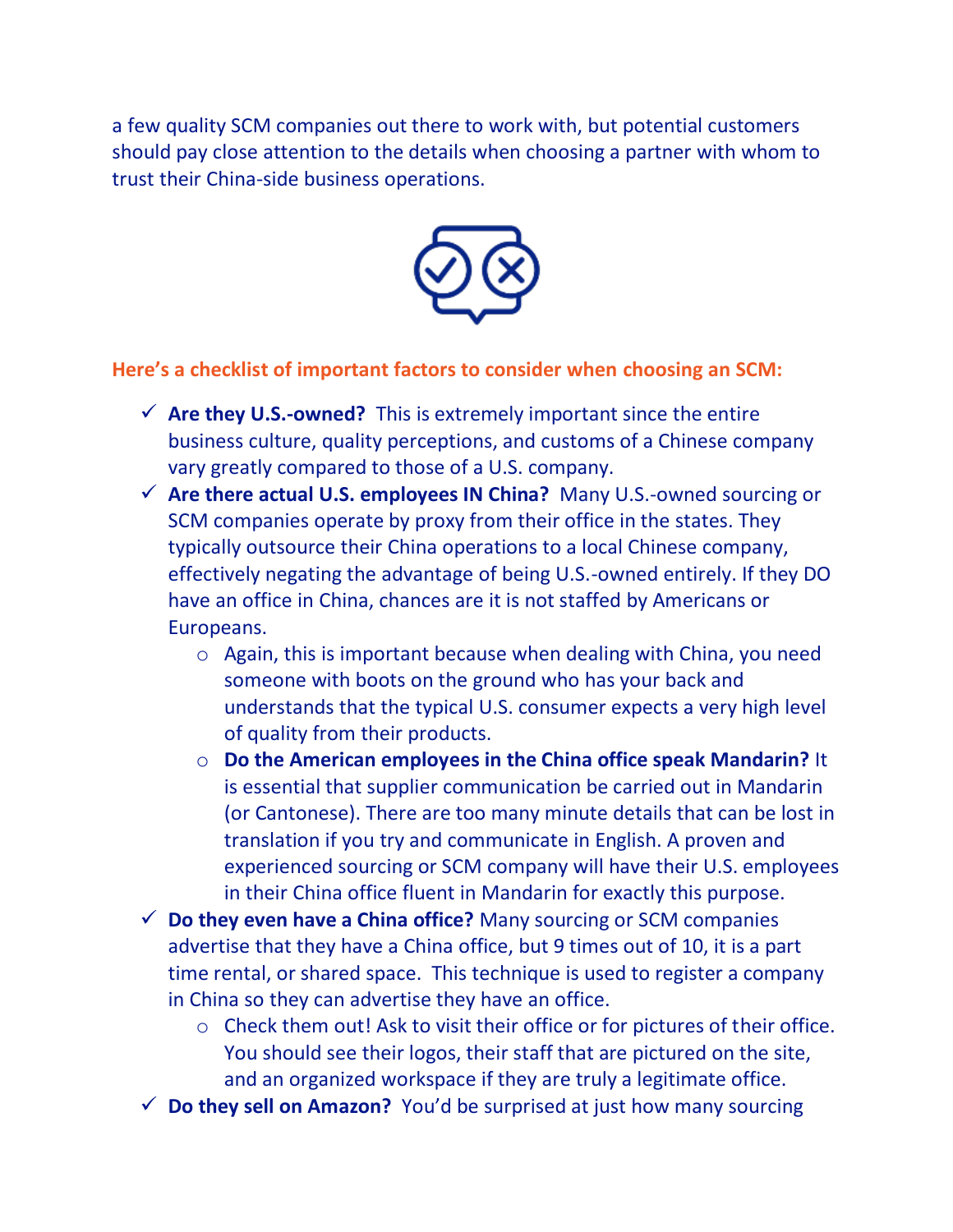a few quality SCM companies out there to work with, but potential customers should pay close attention to the details when choosing a partner with whom to trust their China-side business operations.



#### **Here's a checklist of important factors to consider when choosing an SCM:**

- ✓ **Are they U.S.-owned?** This is extremely important since the entire business culture, quality perceptions, and customs of a Chinese company vary greatly compared to those of a U.S. company.
- ✓ **Are there actual U.S. employees IN China?** Many U.S.-owned sourcing or SCM companies operate by proxy from their office in the states. They typically outsource their China operations to a local Chinese company, effectively negating the advantage of being U.S.-owned entirely. If they DO have an office in China, chances are it is not staffed by Americans or Europeans.
	- o Again, this is important because when dealing with China, you need someone with boots on the ground who has your back and understands that the typical U.S. consumer expects a very high level of quality from their products.
	- o **Do the American employees in the China office speak Mandarin?** It is essential that supplier communication be carried out in Mandarin (or Cantonese). There are too many minute details that can be lost in translation if you try and communicate in English. A proven and experienced sourcing or SCM company will have their U.S. employees in their China office fluent in Mandarin for exactly this purpose.
- ✓ **Do they even have a China office?** Many sourcing or SCM companies advertise that they have a China office, but 9 times out of 10, it is a part time rental, or shared space. This technique is used to register a company in China so they can advertise they have an office.
	- o Check them out! Ask to visit their office or for pictures of their office. You should see their logos, their staff that are pictured on the site, and an organized workspace if they are truly a legitimate office.
- ✓ **Do they sell on Amazon?** You'd be surprised at just how many sourcing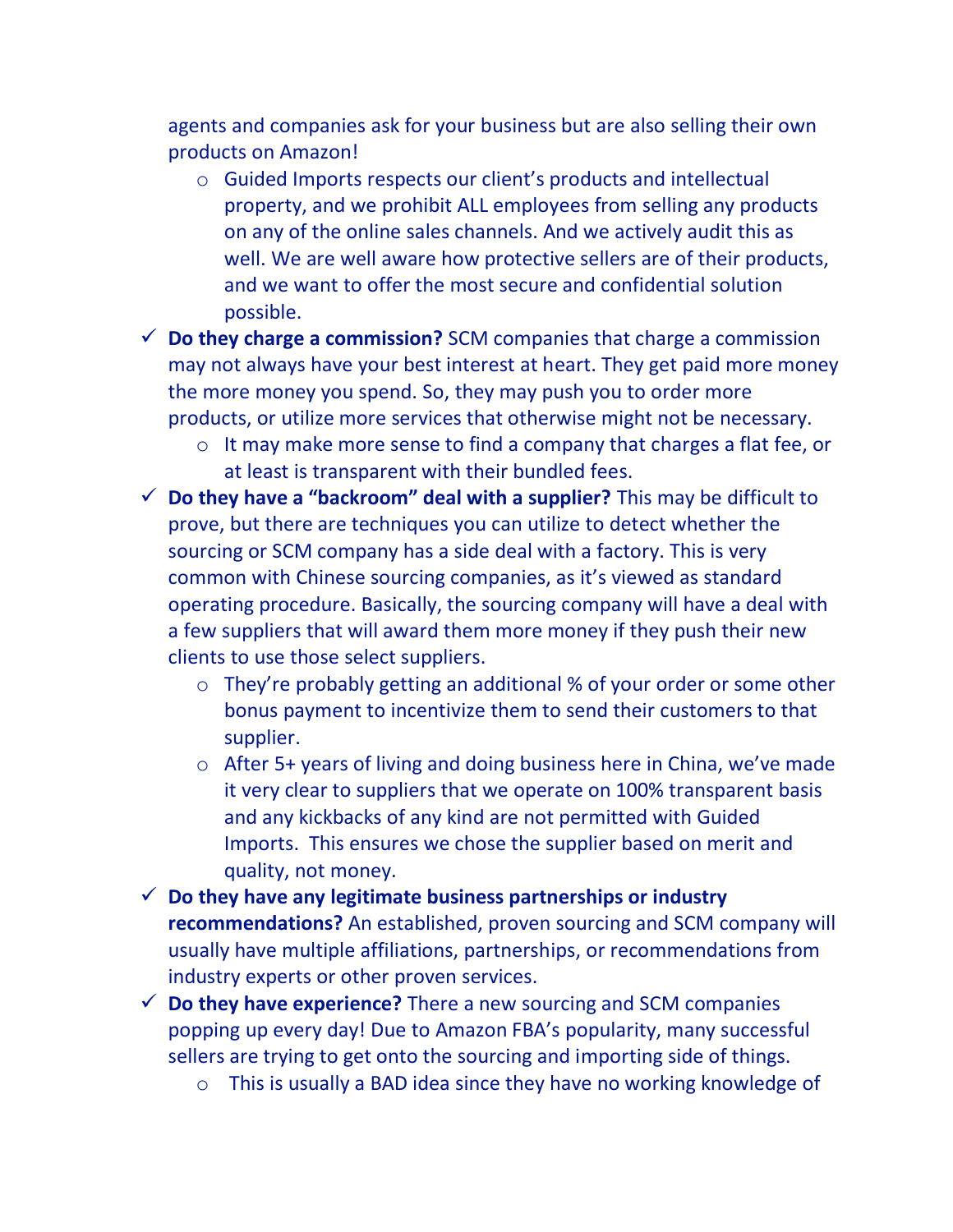agents and companies ask for your business but are also selling their own products on Amazon!

- o Guided Imports respects our client's products and intellectual property, and we prohibit ALL employees from selling any products on any of the online sales channels. And we actively audit this as well. We are well aware how protective sellers are of their products, and we want to offer the most secure and confidential solution possible.
- ✓ **Do they charge a commission?** SCM companies that charge a commission may not always have your best interest at heart. They get paid more money the more money you spend. So, they may push you to order more products, or utilize more services that otherwise might not be necessary.
	- o It may make more sense to find a company that charges a flat fee, or at least is transparent with their bundled fees.
- ✓ **Do they have a "backroom" deal with a supplier?** This may be difficult to prove, but there are techniques you can utilize to detect whether the sourcing or SCM company has a side deal with a factory. This is very common with Chinese sourcing companies, as it's viewed as standard operating procedure. Basically, the sourcing company will have a deal with a few suppliers that will award them more money if they push their new clients to use those select suppliers.
	- o They're probably getting an additional % of your order or some other bonus payment to incentivize them to send their customers to that supplier.
	- o After 5+ years of living and doing business here in China, we've made it very clear to suppliers that we operate on 100% transparent basis and any kickbacks of any kind are not permitted with Guided Imports. This ensures we chose the supplier based on merit and quality, not money.
- ✓ **Do they have any legitimate business partnerships or industry recommendations?** An established, proven sourcing and SCM company will usually have multiple affiliations, partnerships, or recommendations from industry experts or other proven services.
- $\checkmark$  **Do they have experience?** There a new sourcing and SCM companies popping up every day! Due to Amazon FBA's popularity, many successful sellers are trying to get onto the sourcing and importing side of things.
	- o This is usually a BAD idea since they have no working knowledge of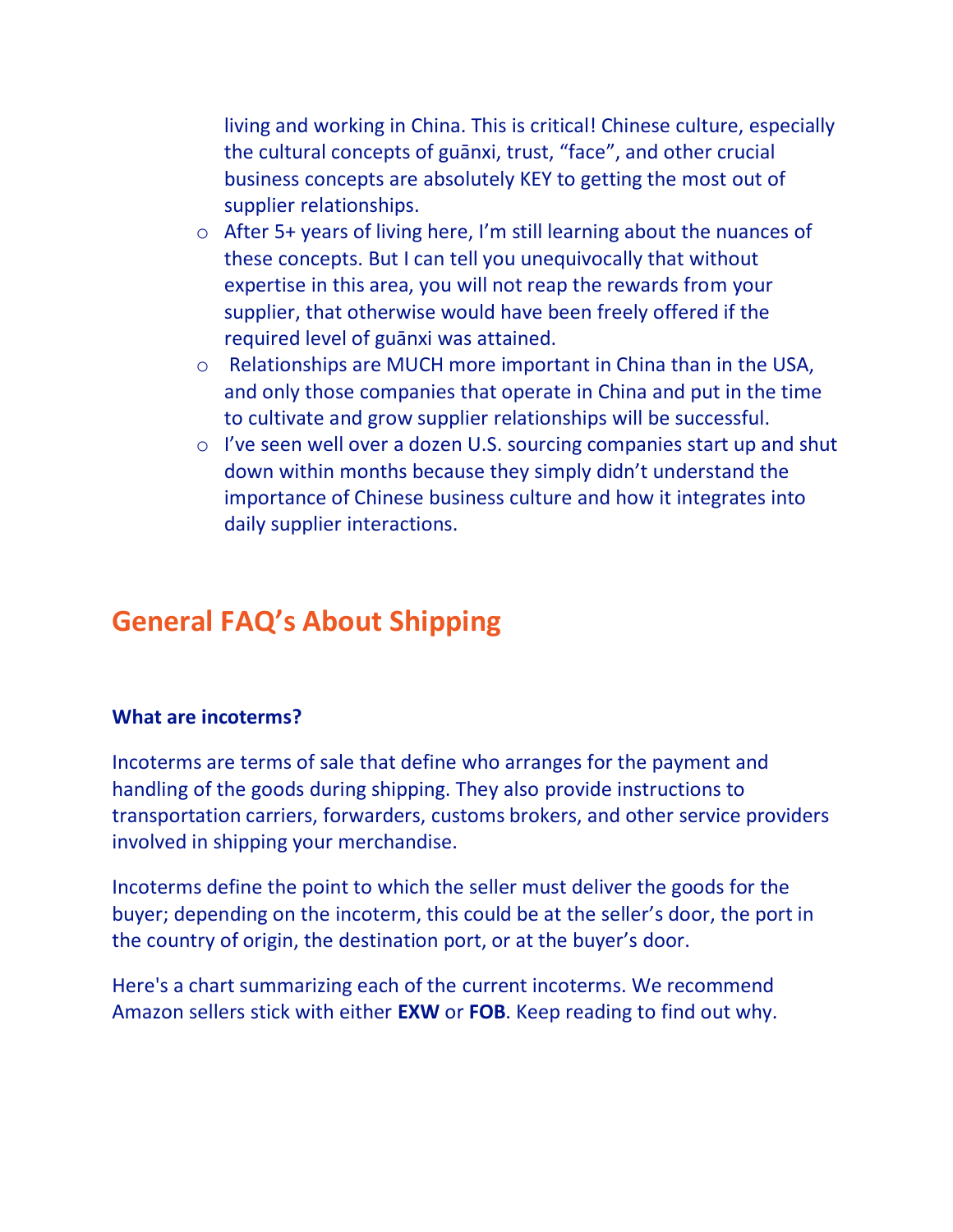living and working in China. This is critical! Chinese culture, especially the cultural concepts of guānxi, trust, "face", and other crucial business concepts are absolutely KEY to getting the most out of supplier relationships.

- o After 5+ years of living here, I'm still learning about the nuances of these concepts. But I can tell you unequivocally that without expertise in this area, you will not reap the rewards from your supplier, that otherwise would have been freely offered if the required level of guānxi was attained.
- o Relationships are MUCH more important in China than in the USA, and only those companies that operate in China and put in the time to cultivate and grow supplier relationships will be successful.
- o I've seen well over a dozen U.S. sourcing companies start up and shut down within months because they simply didn't understand the importance of Chinese business culture and how it integrates into daily supplier interactions.

# **General FAQ's About Shipping**

#### **What are incoterms?**

Incoterms are terms of sale that define who arranges for the payment and handling of the goods during shipping. They also provide instructions to transportation carriers, forwarders, customs brokers, and other service providers involved in shipping your merchandise.

Incoterms define the point to which the seller must deliver the goods for the buyer; depending on the incoterm, this could be at the seller's door, the port in the country of origin, the destination port, or at the buyer's door.

Here's a chart summarizing each of the current incoterms. We recommend Amazon sellers stick with either **EXW** or **FOB**. Keep reading to find out why.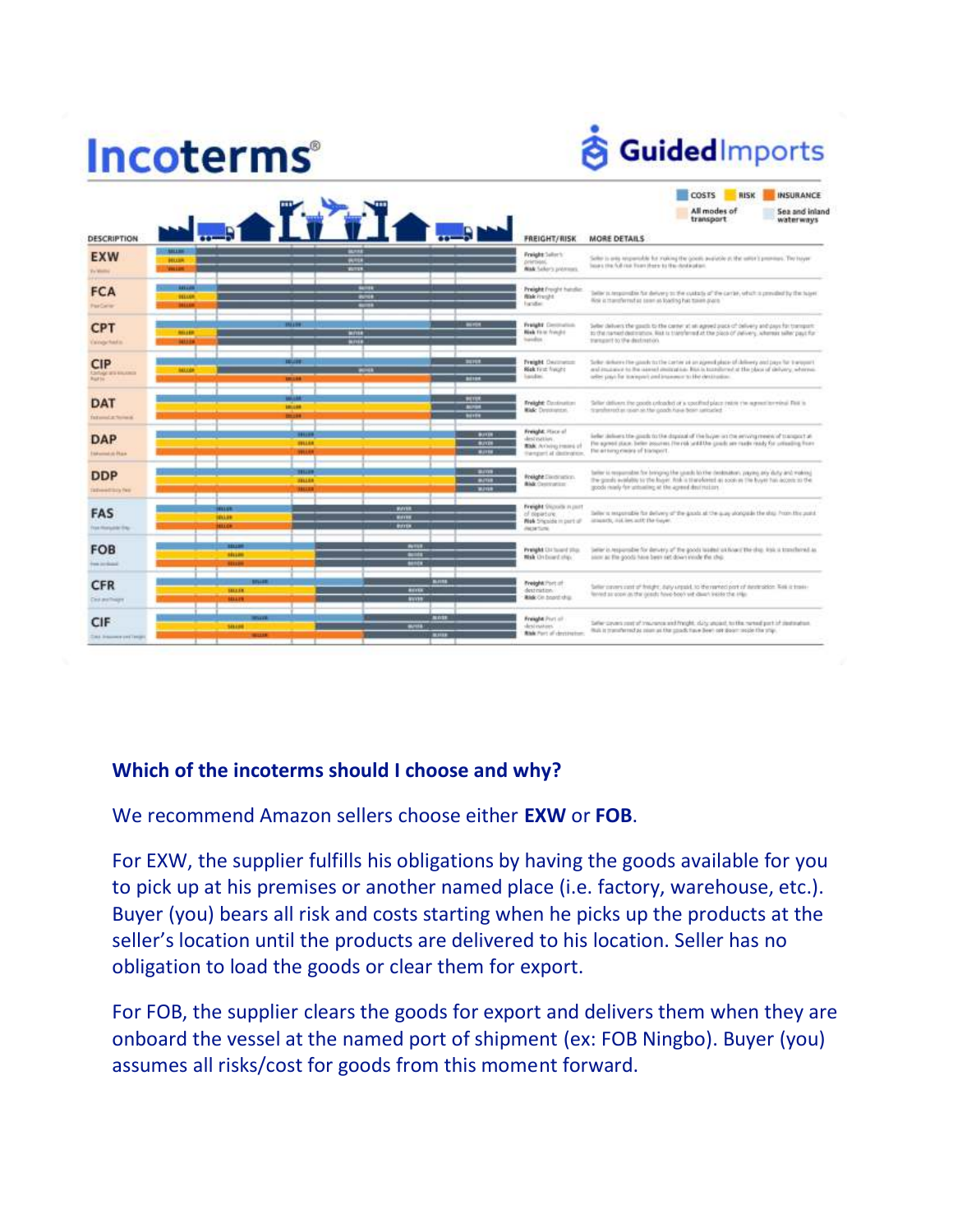# Incoterms®

**& Guided**Imports

|                                                                 |                                         |                                               |                                                                                                 | COSTS<br>RISK<br><b>INSURANCE</b>                                                                                                                                                                                                                    |  |
|-----------------------------------------------------------------|-----------------------------------------|-----------------------------------------------|-------------------------------------------------------------------------------------------------|------------------------------------------------------------------------------------------------------------------------------------------------------------------------------------------------------------------------------------------------------|--|
| DESCRIPTION                                                     |                                         | <b>WESTING</b>                                | <b>FREIGHT/RISK</b>                                                                             | All modes of<br>Sea and inland<br>transport<br>waterways<br><b>MORE DETAILS</b>                                                                                                                                                                      |  |
| <b>EXW</b><br>Ty World.                                         | <b>CONTINUE</b><br><b>HULUR</b><br>nun  | <b>BUILE</b><br><b>WHILE</b><br><b>WITH</b>   | <b>Freight</b> Seller's<br>prémient.<br><b>Nisk</b> Salker's premiums                           | Seller in anti-responsible for making the goods available at the seller's premiure. The hayer<br>lases the full real floor there to the destaction.                                                                                                  |  |
| <b>FCA</b><br>FerCelrer                                         | 141.00<br><b>BELLUM</b><br>mm           | <b>SAFFEE</b><br><b>BUNK</b>                  | <b>Preight</b> Froght handler.<br><b>Nisk Frencht</b><br><b>Facultar</b>                        | belier in temporation for derivery to the custody of the currier, which is previded by the hujest<br>Risk is than the red as issue at loading has to enhance.                                                                                        |  |
| <b>CPT</b><br>Excely had a                                      | 111139<br>96119<br><b>MARK</b>          | -<br><b>Write</b><br><b>WINE</b>              | Freight Contration<br><b>Nisk Firm Friedric</b><br>transfers                                    | Selec delivers the goath to the center at an agreed pack of delivery and pack for transport.<br>to the narrast destination. Heit is transferred at the place of delivery, whereas teller pays for<br>International Control Heatman of                |  |
| <b>CIP</b><br><b>Carlyge are excellent</b><br><b>Built Inc.</b> | <b>TEGHT</b><br><b>MALCOF</b><br>181116 | <b>BUYER</b><br><b>WIND</b><br>seres.         | <b>Treight Destinator</b><br><b>Risk Tirat Trausts</b><br>liaudiei                              | Sellor: dichaire the gamb to the carter at an agend place of delivery and pays for transmit<br>and impairs in the samed designing into humilized at the place of delivery, whereas,<br>seller page for insergant and inserges to the destination.    |  |
| <b>DAT</b><br><b>To Everyone of the Northeam</b>                | 181118<br>192316                        | sent.<br><b>ALCOHOL</b><br><b>MITTE</b>       | Freight: Continuities<br><b>Ride</b> Department                                                 | Seller delivers the goods unbacket or a continuity/acc insist the egenction wind. First is<br>tigenhered as user as the goods have been unitaried.<br><b>SAN DISTURBANCE</b>                                                                         |  |
| <b>DAP</b><br><b>Internation Rock</b>                           | <b>FREES</b><br>                        | <b>BUTTH</b><br><b>BUYER</b><br><b>BUTH</b>   | Freight: Place of<br>destruction.<br><b>Risk:</b> Archives trasand of<br>Hangert at dedivation. | liefer Johnes the goods to the dopout of the bijer in the environment of transport at<br>the agreed place. believ possesses the risk settlithe goads are made ready for unleading from<br>The arthing mising of blamport.                            |  |
| <b>DDP</b><br><b>Information fee</b>                            | m<br><b>ALLES</b>                       | <b>BINK</b><br><b>BUTER</b><br><b>WATER</b>   | <b>Folight</b> Electronics.<br><b>Block Controversion</b>                                       | Seller is responsible for bringing the goods lockler dealersheet, yaying any duty and making<br>the grands available to the huger. And is therefored as access in the buyer has access to the<br>poeds must for unmatter at the area of decretation. |  |
| <b>FAS</b><br><b>Van Horizolde' Eng</b>                         | गाग<br><b>MALLER</b><br><b>HLOR</b>     | <b>WITH</b><br><b>WATER</b><br><b>BUYER</b>   | Freight Stocklin russet<br>of depirture.<br><b>Mak</b> Shoulde in part of<br><b>PACIN'S CRE</b> | latter is responsible for delivery of the goods at the aug storizable the stap Prom this point.<br>istmarty, sal los with the bayer. All the states and construction that the process                                                                |  |
| <b>FOB</b><br><b>Text Inchester</b>                             | <b>HUM</b><br>mm                        | <b>AVILE</b><br><b>STAR</b><br>---            | Preight Did laund plus<br>Mak On board stay.                                                    | believ in responsible for denvery of the goods to alleg in this erite ship, with a transferred as .<br>sister as the poods have been set down mode the ship.                                                                                         |  |
| <b>CFR</b><br>Clock and Theatre                                 | <b>SELLER</b><br><b>MALLEN</b>          | <b>Britte</b><br><b>BOYER</b><br><b>SUVEN</b> | Freight Port of<br>destraition.<br><b>Rick Cir. board ship</b>                                  | failier convers cost of finitiats, during resolut, to the reprint part of destruction. Well is train-<br>ferred as soon in the greats have been will diese linking the trial                                                                         |  |
| <b>CIF</b><br><b>CALL School and Canada</b>                     | 141.00<br>412239                        | <b>MOTH</b><br><b>MATER</b><br><b>MAILER</b>  | Freight Port of<br>desi natura.<br><b>Risk</b> Part of decisionism.                             | Seller covers cost of treurers and freight, duty unpaid, to the network part of destination.<br>Bulk is transferred as more as the goads have been not door mode the star.                                                                           |  |

#### **Which of the incoterms should I choose and why?**

#### We recommend Amazon sellers choose either **EXW** or **FOB**.

For EXW, the supplier fulfills his obligations by having the goods available for you to pick up at his premises or another named place (i.e. factory, warehouse, etc.). Buyer (you) bears all risk and costs starting when he picks up the products at the seller's location until the products are delivered to his location. Seller has no obligation to load the goods or clear them for export.

For FOB, the supplier clears the goods for export and delivers them when they are onboard the vessel at the named port of shipment (ex: FOB Ningbo). Buyer (you) assumes all risks/cost for goods from this moment forward.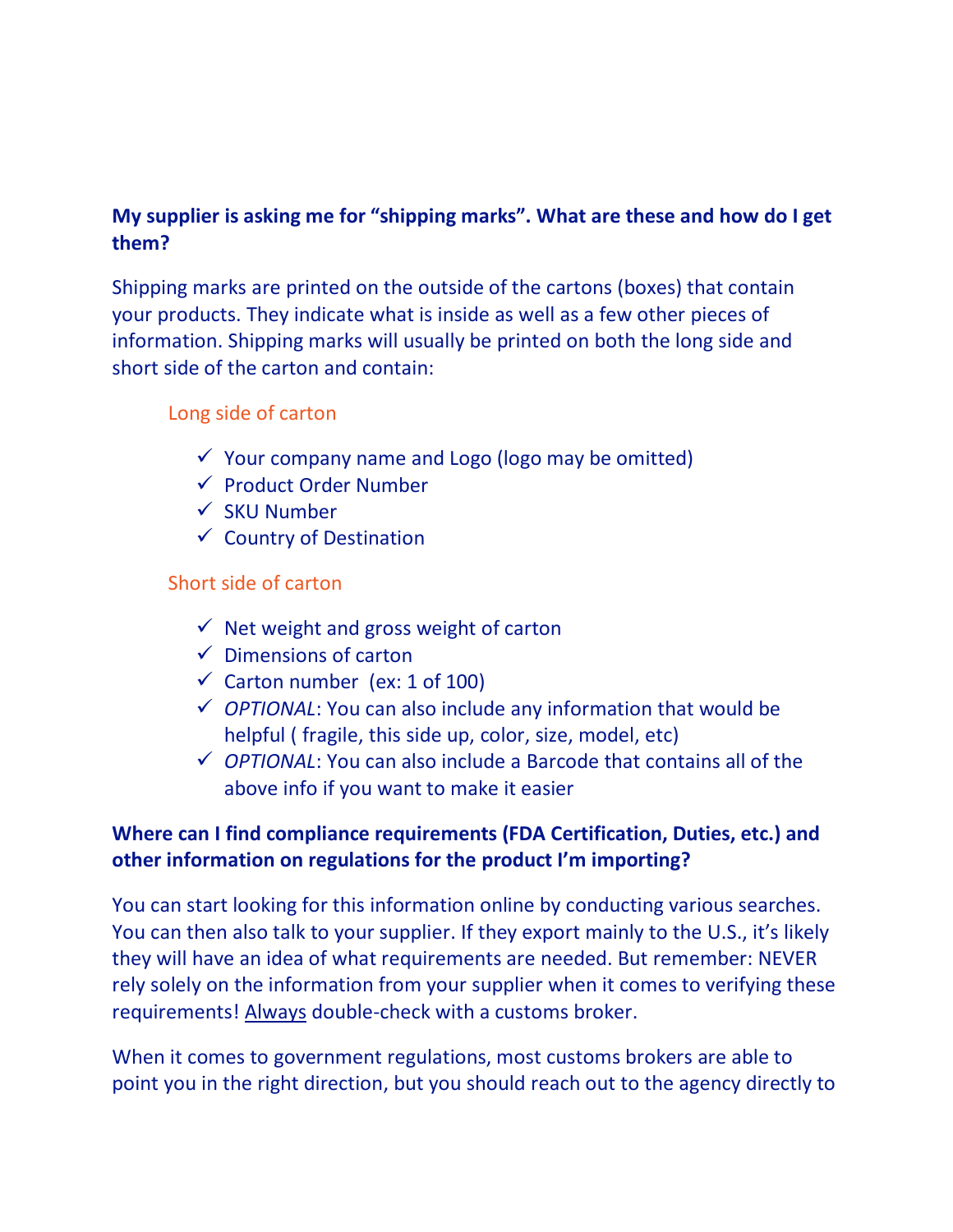# **My supplier is asking me for "shipping marks". What are these and how do I get them?**

Shipping marks are printed on the outside of the cartons (boxes) that contain your products. They indicate what is inside as well as a few other pieces of information. Shipping marks will usually be printed on both the long side and short side of the carton and contain:

#### Long side of carton

- $\checkmark$  Your company name and Logo (logo may be omitted)
- ✓ Product Order Number
- ✓ SKU Number
- $\checkmark$  Country of Destination

#### Short side of carton

- $\checkmark$  Net weight and gross weight of carton
- $\checkmark$  Dimensions of carton
- $\checkmark$  Carton number (ex: 1 of 100)
- ✓ *OPTIONAL*: You can also include any information that would be helpful ( fragile, this side up, color, size, model, etc)
- ✓ *OPTIONAL*: You can also include a Barcode that contains all of the above info if you want to make it easier

### **Where can I find compliance requirements (FDA Certification, Duties, etc.) and other information on regulations for the product I'm importing?**

You can start looking for this information online by conducting various searches. You can then also talk to your supplier. If they export mainly to the U.S., it's likely they will have an idea of what requirements are needed. But remember: NEVER rely solely on the information from your supplier when it comes to verifying these requirements! Always double-check with a customs broker.

When it comes to government regulations, most customs brokers are able to point you in the right direction, but you should reach out to the agency directly to